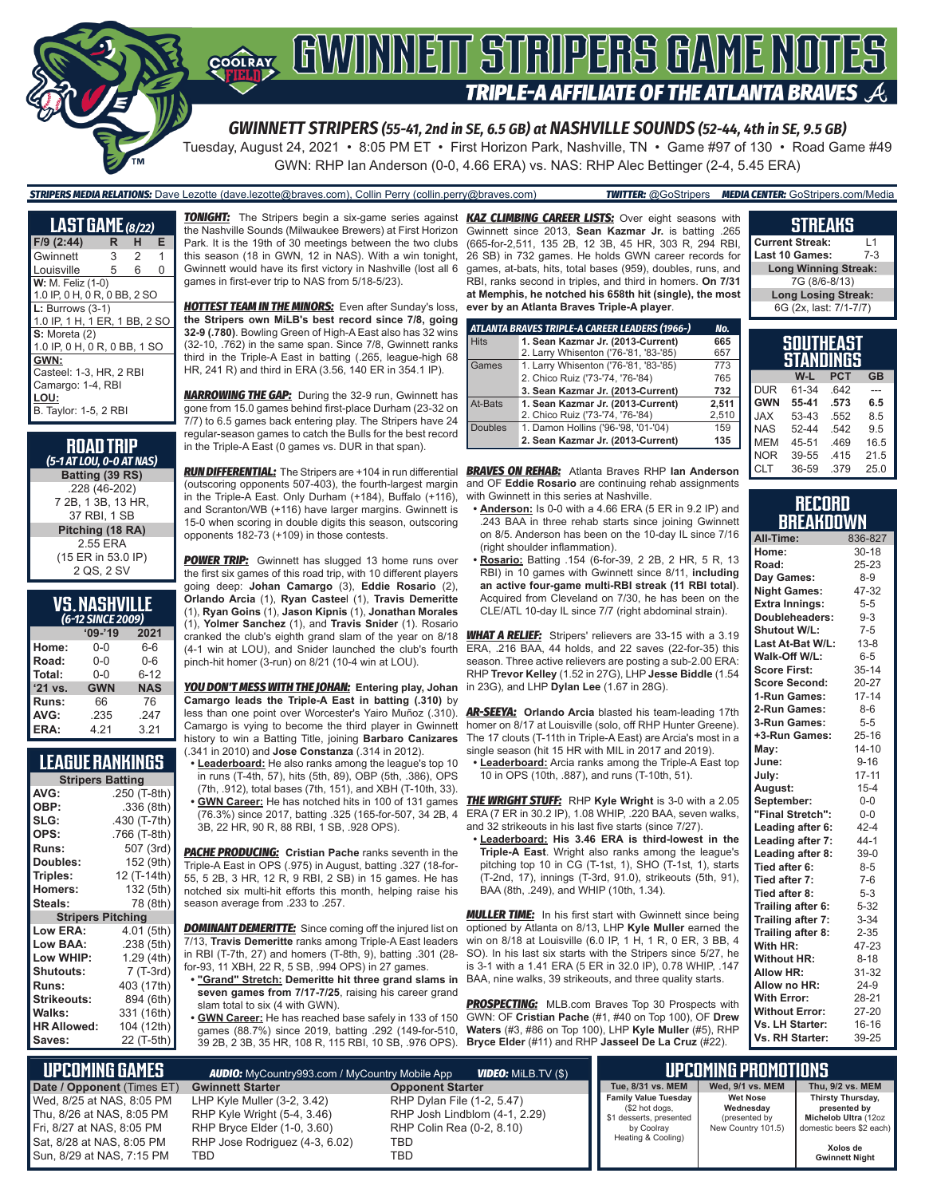

Tuesday, August 24, 2021 • 8:05 PM ET • First Horizon Park, Nashville, TN • Game #97 of 130 • Road Game #49 GWN: RHP Ian Anderson (0-0, 4.66 ERA) vs. NAS: RHP Alec Bettinger (2-4, 5.45 ERA)

#### *STRIPERS MEDIA RELATIONS:* Dave Lezotte (dave.lezotte@braves.com), Collin Perry (collin.perry@braves.com) *TWITTER:* @GoStripers *MEDIA CENTER:* GoStripers.com/Media

| <b>LAST GAME</b> (8/22)       |   |                |   |  |  |
|-------------------------------|---|----------------|---|--|--|
| F/9 (2:44)                    | R | н              | Е |  |  |
| Gwinnett                      | 3 | $\overline{2}$ | 1 |  |  |
| Louisville                    | 5 | 6              | ი |  |  |
| W: M. Feliz (1-0)             |   |                |   |  |  |
| 1.0 IP, 0 H, 0 R, 0 BB, 2 SO  |   |                |   |  |  |
| $L: Burrows (3-1)$            |   |                |   |  |  |
| 1.0 IP, 1 H, 1 ER, 1 BB, 2 SO |   |                |   |  |  |
| $S:$ Moreta $(2)$             |   |                |   |  |  |
| 1.0 IP, 0 H, 0 R, 0 BB, 1 SO  |   |                |   |  |  |
| GWN:                          |   |                |   |  |  |
| Casteel: 1-3. HR. 2 RBI       |   |                |   |  |  |
| Camargo: 1-4, RBI             |   |                |   |  |  |
| LOU:                          |   |                |   |  |  |
| B. Taylor: 1-5, 2 RBI         |   |                |   |  |  |

| <b>ROAD TRIP</b><br>(5-1 AT LOU, 0-0 AT NAS) |
|----------------------------------------------|
| Batting (39 RS)                              |
| .228 (46-202)                                |
| 7 2B, 1 3B, 13 HR,                           |
| 37 RBI, 1 SB                                 |
| Pitching (18 RA)                             |
| 2.55 ERA                                     |
| (15 ER in 53.0 IP)                           |
| 2 QS, 2 SV                                   |

| <b>VS. NASHVILLE</b> |  |
|----------------------|--|
| (6-12 SINCE 2009)    |  |

|              | $09 - 19$  | 2021       |
|--------------|------------|------------|
| Home:        | $0 - 0$    | 6-6        |
| Road:        | $0 - 0$    | $0 - 6$    |
| Total:       | $0 - 0$    | $6 - 12$   |
| '21 vs.      | <b>GWN</b> | <b>NAS</b> |
| <b>Runs:</b> | 66         | 76         |
| AVG:         | .235       | .247       |
| ERA:         | 4.21       | 3.21       |
|              |            |            |

### **LEAGUE RANKINGS**

| AVG:<br>.250 (T-8th)<br>OBP:<br>.336 (8th)<br>SLG:<br>.430 (T-7th)<br>OPS:<br>.766 (T-8th)<br>507 (3rd)<br><b>Runs:</b><br>Doubles:<br>152 (9th) |  |  |  |  |
|--------------------------------------------------------------------------------------------------------------------------------------------------|--|--|--|--|
|                                                                                                                                                  |  |  |  |  |
|                                                                                                                                                  |  |  |  |  |
|                                                                                                                                                  |  |  |  |  |
|                                                                                                                                                  |  |  |  |  |
|                                                                                                                                                  |  |  |  |  |
|                                                                                                                                                  |  |  |  |  |
| 12 (T-14th)<br>Triples:                                                                                                                          |  |  |  |  |
| 132 (5th)<br><b>Homers:</b>                                                                                                                      |  |  |  |  |
| 78 (8th)<br>Steals:                                                                                                                              |  |  |  |  |
| <b>Stripers Pitching</b>                                                                                                                         |  |  |  |  |
| <b>Low ERA:</b><br>4.01 (5th)                                                                                                                    |  |  |  |  |
| Low BAA:<br>.238 (5th)                                                                                                                           |  |  |  |  |
| Low WHIP:<br>1.29 (4th)                                                                                                                          |  |  |  |  |
| 7 (T-3rd)<br>Shutouts:                                                                                                                           |  |  |  |  |
| 403 (17th)<br><b>Runs:</b>                                                                                                                       |  |  |  |  |
| Strikeouts:<br>894 (6th)                                                                                                                         |  |  |  |  |
| Walks:<br>331 (16th)                                                                                                                             |  |  |  |  |
| <b>HR Allowed:</b><br>104 (12th)                                                                                                                 |  |  |  |  |
| 22 (T-5th)<br>Saves:                                                                                                                             |  |  |  |  |

*TONIGHT:* The Stripers begin a six-game series against *KAZ CLIMBING CAREER LISTS:* Over eight seasons with the Nashville Sounds (Milwaukee Brewers) at First Horizon Park. It is the 19th of 30 meetings between the two clubs this season (18 in GWN, 12 in NAS). With a win tonight, Gwinnett would have its first victory in Nashville (lost all 6 games in first-ever trip to NAS from 5/18-5/23).

*HOTTEST TEAM IN THE MINORS:* Even after Sunday's loss, **the Stripers own MiLB's best record since 7/8, going 32-9 (.780)**. Bowling Green of High-A East also has 32 wins (32-10, .762) in the same span. Since 7/8, Gwinnett ranks third in the Triple-A East in batting (.265, league-high 68 HR, 241 R) and third in ERA (3.56, 140 ER in 354.1 IP).

*NARROWING THE GAP:* During the 32-9 run, Gwinnett has gone from 15.0 games behind first-place Durham (23-32 on 7/7) to 6.5 games back entering play. The Stripers have 24 regular-season games to catch the Bulls for the best record in the Triple-A East (0 games vs. DUR in that span).

**RUN DIFFERENTIAL:** The Stripers are +104 in run differential (outscoring opponents 507-403), the fourth-largest margin in the Triple-A East. Only Durham (+184), Buffalo (+116), and Scranton/WB (+116) have larger margins. Gwinnett is 15-0 when scoring in double digits this season, outscoring opponents 182-73 (+109) in those contests.

**POWER TRIP:** Gwinnett has slugged 13 home runs over the first six games of this road trip, with 10 different players going deep: **Johan Camargo** (3), **Eddie Rosario** (2), **Orlando Arcia** (1), **Ryan Castee**l (1), **Travis Demeritte** (1), **Ryan Goins** (1), **Jason Kipnis** (1), **Jonathan Morales** (1), **Yolmer Sanchez** (1), and **Travis Snider** (1). Rosario cranked the club's eighth grand slam of the year on 8/18 (4-1 win at LOU), and Snider launched the club's fourth pinch-hit homer (3-run) on 8/21 (10-4 win at LOU).

*YOU DON'T MESS WITH THE JOHAN:* **Entering play, Johan Camargo leads the Triple-A East in batting (.310)** by less than one point over Worcester's Yairo Muñoz (.310). Camargo is vying to become the third player in Gwinnett history to win a Batting Title, joining **Barbaro Canizares** (.341 in 2010) and **Jose Constanza** (.314 in 2012).

- **• Leaderboard:** He also ranks among the league's top 10 in runs (T-4th, 57), hits (5th, 89), OBP (5th, .386), OPS (7th, .912), total bases (7th, 151), and XBH (T-10th, 33).
- **• GWN Career:** He has notched hits in 100 of 131 games (76.3%) since 2017, batting .325 (165-for-507, 34 2B, 4 3B, 22 HR, 90 R, 88 RBI, 1 SB, .928 OPS).

**PACHE PRODUCING:** Cristian Pache ranks seventh in the Triple-A East in OPS (.975) in August, batting .327 (18-for-55, 5 2B, 3 HR, 12 R, 9 RBI, 2 SB) in 15 games. He has notched six multi-hit efforts this month, helping raise his season average from .233 to .257.

**DOMINANT DEMERITTE:** Since coming off the injured list on 7/13, **Travis Demeritte** ranks among Triple-A East leaders in RBI (T-7th, 27) and homers (T-8th, 9), batting .301 (28 for-93, 11 XBH, 22 R, 5 SB, .994 OPS) in 27 games.

- **• "Grand" Stretch: Demeritte hit three grand slams in**  BAA, nine walks, 39 strikeouts, and three quality starts. seven games from 7/17-7/25, raising his career grand slam total to six (4 with GWN).
- **• GWN Career:** He has reached base safely in 133 of 150 games (88.7%) since 2019, batting .292 (149-for-510, 39 2B, 2 3B, 35 HR, 108 R, 115 RBI, 10 SB, .976 OPS). **Bryce Elder** (#11) and RHP **Jasseel De La Cruz** (#22).

Gwinnett since 2013, **Sean Kazmar Jr.** is batting .265 (665-for-2,511, 135 2B, 12 3B, 45 HR, 303 R, 294 RBI, 26 SB) in 732 games. He holds GWN career records for games, at-bats, hits, total bases (959), doubles, runs, and RBI, ranks second in triples, and third in homers. **On 7/31 at Memphis, he notched his 658th hit (single), the most ever by an Atlanta Braves Triple-A player**.

|                | ATLANTA BRAVES TRIPLE-A CAREER LEADERS (1966-) | No.   |
|----------------|------------------------------------------------|-------|
| <b>Hits</b>    | 1. Sean Kazmar Jr. (2013-Current)              | 665   |
|                | 2. Larry Whisenton ('76-'81, '83-'85)          | 657   |
| Games          | 1. Larry Whisenton ('76-'81, '83-'85)          | 773   |
|                | 2. Chico Ruiz ('73-'74, '76-'84)               | 765   |
|                | 3. Sean Kazmar Jr. (2013-Current)              | 732   |
| At-Bats        | 1. Sean Kazmar Jr. (2013-Current)              | 2.511 |
|                | 2. Chico Ruiz ('73-'74, '76-'84)               | 2,510 |
| <b>Doubles</b> | 1. Damon Hollins ('96-'98, '01-'04)            | 159   |
|                | 2. Sean Kazmar Jr. (2013-Current)              | 135   |

*BRAVES ON REHAB:* Atlanta Braves RHP **Ian Anderson** and OF **Eddie Rosario** are continuing rehab assignments with Gwinnett in this series at Nashville.

- **• Anderson:** Is 0-0 with a 4.66 ERA (5 ER in 9.2 IP) and .243 BAA in three rehab starts since joining Gwinnett on 8/5. Anderson has been on the 10-day IL since 7/16 (right shoulder inflammation).
- **• Rosario:** Batting .154 (6-for-39, 2 2B, 2 HR, 5 R, 13 RBI) in 10 games with Gwinnett since 8/11, **including an active four-game multi-RBI streak (11 RBI total)**. Acquired from Cleveland on 7/30, he has been on the CLE/ATL 10-day IL since 7/7 (right abdominal strain).

**WHAT A RELIEF:** Stripers' relievers are 33-15 with a 3.19 ERA, .216 BAA, 44 holds, and 22 saves (22-for-35) this season. Three active relievers are posting a sub-2.00 ERA: RHP **Trevor Kelley** (1.52 in 27G), LHP **Jesse Biddle** (1.54 in 23G), and LHP **Dylan Lee** (1.67 in 28G).

*AR-SEEYA:* **Orlando Arcia** blasted his team-leading 17th homer on 8/17 at Louisville (solo, off RHP Hunter Greene). The 17 clouts (T-11th in Triple-A East) are Arcia's most in a single season (hit 15 HR with MIL in 2017 and 2019).

**• Leaderboard:** Arcia ranks among the Triple-A East top 10 in OPS (10th, .887), and runs (T-10th, 51).

*THE WRIGHT STUFF:* RHP **Kyle Wright** is 3-0 with a 2.05 ERA (7 ER in 30.2 IP), 1.08 WHIP, .220 BAA, seven walks, and 32 strikeouts in his last five starts (since 7/27).

**• Leaderboard: His 3.46 ERA is third-lowest in the Triple-A East**. Wright also ranks among the league's pitching top 10 in CG (T-1st, 1), SHO (T-1st, 1), starts (T-2nd, 17), innings (T-3rd, 91.0), strikeouts (5th, 91), BAA (8th, .249), and WHIP (10th, 1.34).

**MULLER TIME:** In his first start with Gwinnett since being optioned by Atlanta on 8/13, LHP **Kyle Muller** earned the win on 8/18 at Louisville (6.0 IP, 1 H, 1 R, 0 ER, 3 BB, 4 SO). In his last six starts with the Stripers since 5/27, he is 3-1 with a 1.41 ERA (5 ER in 32.0 IP), 0.78 WHIP, .147

**PROSPECTING:** MLB.com Braves Top 30 Prospects with GWN: OF **Cristian Pache** (#1, #40 on Top 100), OF **Drew Waters** (#3, #86 on Top 100), LHP **Kyle Muller** (#5), RHP

#### **STREAKS Current Streak:** L1<br>Last 10 Games: 7-3

**Last 10 Games: Long Winning Streak:** 7G (8/6-8/13) **Long Losing Streak:** 6G (2x, last: 7/1-7/7)

| Southeast<br>STANDINGS |       |            |           |  |  |
|------------------------|-------|------------|-----------|--|--|
|                        | W-L   | <b>PCT</b> | <b>GB</b> |  |  |
| <b>DUR</b>             | 61-34 | .642       |           |  |  |
| <b>GWN</b>             | 55-41 | .573       | 6.5       |  |  |
| <b>XAL</b>             | 53-43 | .552       | 8.5       |  |  |
| <b>NAS</b>             | 52-44 | .542       | 9.5       |  |  |
| <b>MEM</b>             | 45-51 | .469       | 16.5      |  |  |
| <b>NOR</b>             | 39-55 | .415       | 21.5      |  |  |
| <b>CLT</b>             | 36-59 | .379       | 25.0      |  |  |

#### **RECORD BREAKDOWN**

| All-Time:             | 836-827   |
|-----------------------|-----------|
| Home:                 | $30 - 18$ |
| Road:                 | 25-23     |
| Day Games:            | $8 - 9$   |
| <b>Night Games:</b>   | 47-32     |
| <b>Extra Innings:</b> | $5 - 5$   |
| Doubleheaders:        | $9 - 3$   |
| <b>Shutout W/L:</b>   | $7 - 5$   |
| Last At-Bat W/L:      | $13 - 8$  |
| Walk-Off W/L:         | $6-5$     |
| <b>Score First:</b>   | $35 - 14$ |
| <b>Score Second:</b>  | $20 - 27$ |
| 1-Run Games:          | $17 - 14$ |
| 2-Run Games:          | $8 - 6$   |
| 3-Run Games:          | $5-5$     |
| +3-Run Games:         | $25 - 16$ |
| May:                  | $14 - 10$ |
| June:                 | $9 - 16$  |
| July:                 | $17 - 11$ |
| August:               | $15 - 4$  |
| September:            | $0-0$     |
| "Final Stretch":      | $0-0$     |
| Leading after 6:      | $42 - 4$  |
| Leading after 7:      | $44-1$    |
| Leading after 8:      | $39-0$    |
| Tied after 6:         | $8 - 5$   |
| Tied after 7:         | $7-6$     |
| Tied after 8:         | $5 - 3$   |
| Trailing after 6:     | $5 - 32$  |
| Trailing after 7:     | $3 - 34$  |
| Trailing after 8:     | $2 - 35$  |
| With HR:              | 47-23     |
| <b>Without HR:</b>    | $8 - 18$  |
| <b>Allow HR:</b>      | 31-32     |
| Allow no HR:          | $24-9$    |
| <b>With Error:</b>    | 28-21     |
| <b>Without Error:</b> | $27 - 20$ |
| Vs. LH Starter:       | $16 - 16$ |
| Vs. RH Starter:       | 39-25     |

| L UPCOMING GAMES I         | <b>AUDIO:</b> MyCountry993.com / MyCountry Mobile App | <b>VIDEO:</b> MiLB.TV (\$)    |                                               | LUPCOMING PROMOTIONS !       |                                   |
|----------------------------|-------------------------------------------------------|-------------------------------|-----------------------------------------------|------------------------------|-----------------------------------|
| Date / Opponent (Times ET) | <b>Gwinnett Starter</b>                               | <b>Opponent Starter</b>       | Tue, 8/31 vs. MEM                             | Wed, 9/1 vs. MEM             | Thu, 9/2 vs. MEM                  |
| Wed. 8/25 at NAS. 8:05 PM  | LHP Kyle Muller (3-2, 3.42)                           | RHP Dylan File (1-2, 5.47)    | <b>Family Value Tuesday</b><br>(\$2 hot dogs, | <b>Wet Nose</b><br>Wednesday | Thirsty Thursday,<br>presented by |
| Thu. 8/26 at NAS. 8:05 PM  | RHP Kyle Wright (5-4, 3.46)                           | RHP Josh Lindblom (4-1, 2.29) | \$1 desserts, presented                       | (presented by                | Michelob Ultra (12oz              |
| Fri. 8/27 at NAS. 8:05 PM  | RHP Bryce Elder (1-0, 3.60)                           | RHP Colin Rea (0-2, 8.10)     | by Coolray                                    | New Country 101.5)           | domestic beers \$2 each)          |
| Sat, 8/28 at NAS, 8:05 PM  | RHP Jose Rodriguez (4-3, 6.02)                        | TBD                           | Heating & Cooling)                            |                              | Xolos de                          |
| Sun. 8/29 at NAS. 7:15 PM  | TBD                                                   | TBD                           |                                               |                              | <b>Gwinnett Night</b>             |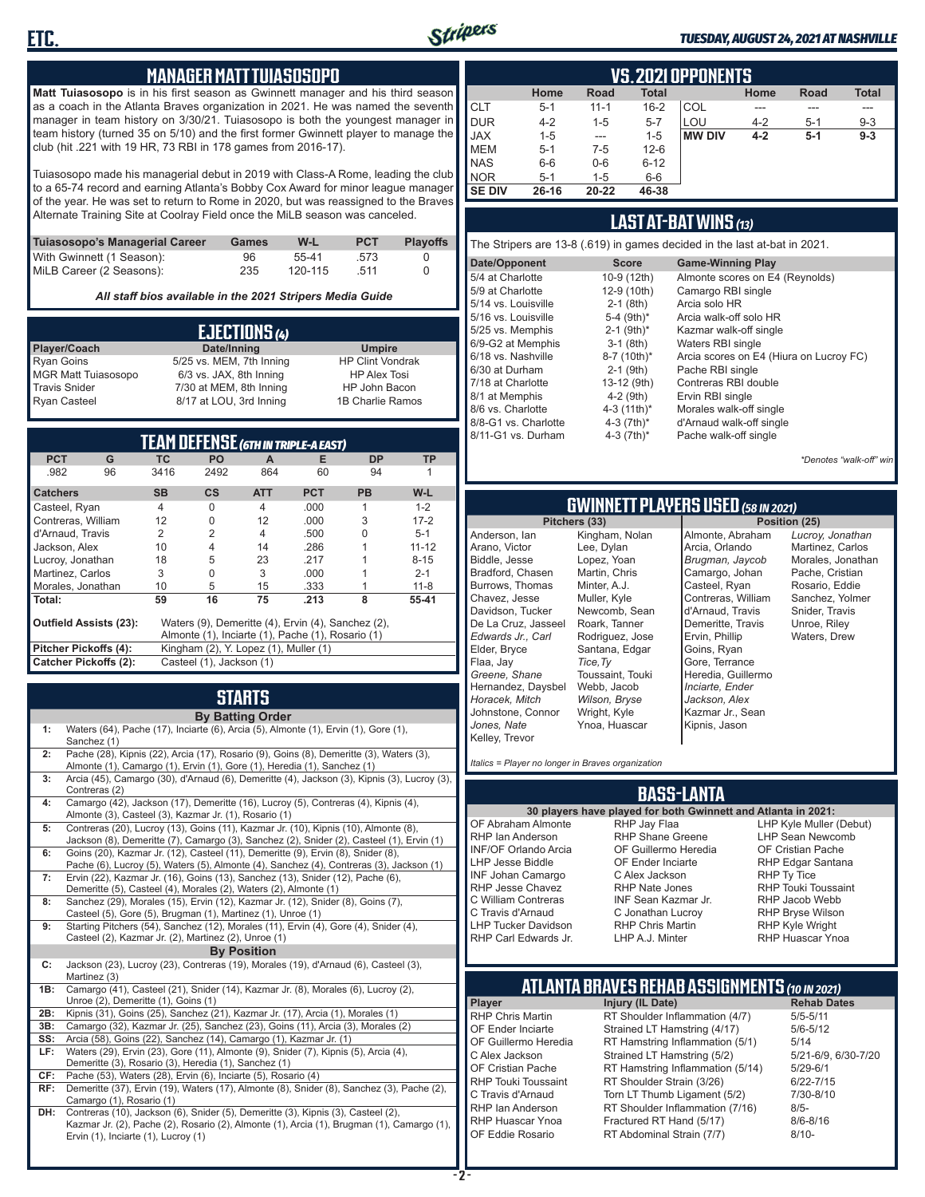

#### *TUESDAY, AUGUST 24, 2021 AT NASHVILLE*

#### **MANAGER MATT TUIASOSOPO**

**Matt Tuiasosopo** is in his first season as Gwinnett manager and his third season as a coach in the Atlanta Braves organization in 2021. He was named the seventh manager in team history on 3/30/21. Tuiasosopo is both the youngest manager in team history (turned 35 on 5/10) and the first former Gwinnett player to manage the club (hit .221 with 19 HR, 73 RBI in 178 games from 2016-17).

Tuiasosopo made his managerial debut in 2019 with Class-A Rome, leading the club to a 65-74 record and earning Atlanta's Bobby Cox Award for minor league manager of the year. He was set to return to Rome in 2020, but was reassigned to the Braves Alternate Training Site at Coolray Field once the MiLB season was canceled.

| Tuiasosopo's Managerial Career | Games | W-L     | <b>PCT</b> | <b>Plavoffs</b> |
|--------------------------------|-------|---------|------------|-----------------|
| With Gwinnett (1 Season):      | 96    | 55-41   | .573       |                 |
| MiLB Career (2 Seasons):       | 235   | 120-115 | 511        |                 |

*All staff bios available in the 2021 Stripers Media Guide*

| EJECTIONS (4)              |                          |                         |  |  |
|----------------------------|--------------------------|-------------------------|--|--|
| Player/Coach               | Date/Inning              | <b>Umpire</b>           |  |  |
| <b>Ryan Goins</b>          | 5/25 vs. MEM, 7th Inning | <b>HP Clint Vondrak</b> |  |  |
| <b>MGR Matt Tuiasosopo</b> | 6/3 vs. JAX, 8th Inning  | <b>HP Alex Tosi</b>     |  |  |
| <b>Travis Snider</b>       | 7/30 at MEM, 8th Inning  | HP John Bacon           |  |  |
| <b>Ryan Casteel</b>        | 8/17 at LOU, 3rd Inning  | 1B Charlie Ramos        |  |  |

| <b>TEAM DEFENSE (GTH IN TRIPLE-A EAST)</b>                                          |    |                                                   |                |                |            |           |           |
|-------------------------------------------------------------------------------------|----|---------------------------------------------------|----------------|----------------|------------|-----------|-----------|
| <b>PCT</b>                                                                          | G  | ТC                                                | <b>PO</b>      | A              | Е          | <b>DP</b> | TP        |
| .982                                                                                | 96 | 3416                                              | 2492           | 864            | 60         | 94        |           |
| <b>Catchers</b>                                                                     |    | <b>SB</b>                                         | <b>CS</b>      | <b>ATT</b>     | <b>PCT</b> | <b>PB</b> | $W-L$     |
| Casteel, Ryan                                                                       |    | $\overline{4}$                                    | $\Omega$       | $\overline{4}$ | .000       | 1         | $1 - 2$   |
| Contreras, William                                                                  |    | 12                                                | 0              | 12             | .000       | 3         | $17 - 2$  |
| d'Arnaud, Travis                                                                    |    | 2                                                 | $\overline{2}$ | $\overline{4}$ | .500       | U         | $5 - 1$   |
| Jackson, Alex                                                                       |    | 10                                                | 4              | 14             | .286       |           | $11 - 12$ |
| 5<br>Lucroy, Jonathan<br>18<br>23                                                   |    | .217                                              |                | $8 - 15$       |            |           |           |
| Martinez, Carlos                                                                    |    | 3                                                 | $\Omega$       | 3              | .000       |           | $2 - 1$   |
| 5<br>Morales, Jonathan<br>10<br>15<br>.333                                          |    |                                                   |                | $11 - 8$       |            |           |           |
| Total:                                                                              |    | 59                                                | 16             | 75             | .213       | 8         | 55-41     |
| <b>Outfield Assists (23):</b><br>Waters (9), Demeritte (4), Ervin (4), Sanchez (2), |    |                                                   |                |                |            |           |           |
|                                                                                     |    | Almonte (1), Inciarte (1), Pache (1), Rosario (1) |                |                |            |           |           |
| Pitcher Pickoffs (4):                                                               |    | Kingham (2), Y. Lopez (1), Muller (1)             |                |                |            |           |           |
| <b>Catcher Pickoffs (2):</b>                                                        |    | Casteel (1), Jackson (1)                          |                |                |            |           |           |

### **STARTS**

|     | <b>By Batting Order</b>                                                                                                                                                                                              |
|-----|----------------------------------------------------------------------------------------------------------------------------------------------------------------------------------------------------------------------|
| 1:  | Waters (64), Pache (17), Inciarte (6), Arcia (5), Almonte (1), Ervin (1), Gore (1),<br>Sanchez (1)                                                                                                                   |
| 2:  | Pache (28), Kipnis (22), Arcia (17), Rosario (9), Goins (8), Demeritte (3), Waters (3),<br>Almonte (1), Camargo (1), Ervin (1), Gore (1), Heredia (1), Sanchez (1)                                                   |
| 3:  | Arcia (45), Camargo (30), d'Arnaud (6), Demeritte (4), Jackson (3), Kipnis (3), Lucroy (3),<br>Contreras (2)                                                                                                         |
| 4:  | Camargo (42), Jackson (17), Demeritte (16), Lucroy (5), Contreras (4), Kipnis (4),<br>Almonte (3), Casteel (3), Kazmar Jr. (1), Rosario (1)                                                                          |
| 5:  | Contreras (20), Lucroy (13), Goins (11), Kazmar Jr. (10), Kipnis (10), Almonte (8),<br>Jackson (8), Demeritte (7), Camargo (3), Sanchez (2), Snider (2), Casteel (1), Ervin (1)                                      |
| 6:  | Goins (20), Kazmar Jr. (12), Casteel (11), Demeritte (9), Ervin (8), Snider (8),<br>Pache (6), Lucroy (5), Waters (5), Almonte (4), Sanchez (4), Contreras (3), Jackson (1)                                          |
| 7:  | Ervin (22), Kazmar Jr. (16), Goins (13), Sanchez (13), Snider (12), Pache (6),<br>Demeritte (5), Casteel (4), Morales (2), Waters (2), Almonte (1)                                                                   |
| 8:  | Sanchez (29), Morales (15), Ervin (12), Kazmar Jr. (12), Snider (8), Goins (7),<br>Casteel (5), Gore (5), Brugman (1), Martinez (1), Unroe (1)                                                                       |
| 9:  | Starting Pitchers (54), Sanchez (12), Morales (11), Ervin (4), Gore (4), Snider (4),<br>Casteel (2), Kazmar Jr. (2), Martinez (2), Unroe (1)                                                                         |
|     | <b>By Position</b>                                                                                                                                                                                                   |
| c:  | Jackson (23), Lucroy (23), Contreras (19), Morales (19), d'Arnaud (6), Casteel (3),<br>Martinez (3)                                                                                                                  |
| 1B: | Camargo (41), Casteel (21), Snider (14), Kazmar Jr. (8), Morales (6), Lucroy (2),<br>Unroe (2), Demeritte (1), Goins (1)                                                                                             |
| 2B: | Kipnis (31), Goins (25), Sanchez (21), Kazmar Jr. (17), Arcia (1), Morales (1)                                                                                                                                       |
| 3B: | Camargo (32), Kazmar Jr. (25), Sanchez (23), Goins (11), Arcia (3), Morales (2)                                                                                                                                      |
| SS: | Arcia (58), Goins (22), Sanchez (14), Camargo (1), Kazmar Jr. (1)                                                                                                                                                    |
| LF: | Waters (29), Ervin (23), Gore (11), Almonte (9), Snider (7), Kipnis (5), Arcia (4),<br>Demeritte (3), Rosario (3), Heredia (1), Sanchez (1)                                                                          |
| CF: | Pache (53), Waters (28), Ervin (6), Inciarte (5), Rosario (4)                                                                                                                                                        |
| RF: | Demeritte (37), Ervin (19), Waters (17), Almonte (8), Snider (8), Sanchez (3), Pache (2),<br>Camargo (1), Rosario (1)                                                                                                |
| DH: | Contreras (10), Jackson (6), Snider (5), Demeritte (3), Kipnis (3), Casteel (2),<br>Kazmar Jr. (2), Pache (2), Rosario (2), Almonte (1), Arcia (1), Brugman (1), Camargo (1),<br>Ervin (1), Inciarte (1), Lucroy (1) |

|               | <b>VS.2021 OPPONENTS</b>                                     |           |          |               |         |       |         |  |  |  |  |  |  |  |  |
|---------------|--------------------------------------------------------------|-----------|----------|---------------|---------|-------|---------|--|--|--|--|--|--|--|--|
|               | Home<br><b>Total</b><br><b>Total</b><br>Road<br>Home<br>Road |           |          |               |         |       |         |  |  |  |  |  |  |  |  |
| <b>CLT</b>    | $5 - 1$                                                      | $11 - 1$  | $16 - 2$ | COL           | ---     |       | ---     |  |  |  |  |  |  |  |  |
| <b>DUR</b>    | $4 - 2$                                                      | $1 - 5$   | $5 - 7$  | LOU           | $4 - 2$ | $5-1$ | $9 - 3$ |  |  |  |  |  |  |  |  |
| <b>JAX</b>    | $1 - 5$                                                      | ---       | $1 - 5$  | <b>MW DIV</b> | $4 - 2$ | $5-1$ | $9 - 3$ |  |  |  |  |  |  |  |  |
| <b>MEM</b>    | $5 - 1$                                                      | $7-5$     | $12 - 6$ |               |         |       |         |  |  |  |  |  |  |  |  |
| <b>NAS</b>    | $6-6$                                                        | $0-6$     | $6 - 12$ |               |         |       |         |  |  |  |  |  |  |  |  |
| <b>NOR</b>    | $5 - 1$                                                      | $1 - 5$   | $6-6$    |               |         |       |         |  |  |  |  |  |  |  |  |
| <b>SE DIV</b> | $26 - 16$                                                    | $20 - 22$ | 46-38    |               |         |       |         |  |  |  |  |  |  |  |  |

#### **LAST AT-BAT WINS** *(13)*

The Stripers are 13-8 (.619) in games decided in the last at-bat in 2021.

| Date/Opponent        | <b>Score</b>             | <b>Game-Winning Play</b>                |
|----------------------|--------------------------|-----------------------------------------|
| 5/4 at Charlotte     | 10-9 (12th)              | Almonte scores on E4 (Reynolds)         |
| 5/9 at Charlotte     | 12-9 (10th)              | Camargo RBI single                      |
| 5/14 vs. Louisville  | $2-1$ (8th)              | Arcia solo HR                           |
| 5/16 vs. Louisville  | 5-4 (9th)*               | Arcia walk-off solo HR                  |
| 5/25 vs. Memphis     | $2-1$ (9th) <sup>*</sup> | Kazmar walk-off single                  |
| 6/9-G2 at Memphis    | $3-1$ (8th)              | Waters RBI single                       |
| 6/18 vs. Nashville   | 8-7 (10th)*              | Arcia scores on E4 (Hiura on Lucroy FC) |
| 6/30 at Durham       | $2-1$ (9th)              | Pache RBI single                        |
| 7/18 at Charlotte    | 13-12 (9th)              | Contreras RBI double                    |
| 8/1 at Memphis       | $4-2$ (9th)              | Ervin RBI single                        |
| 8/6 vs. Charlotte    | 4-3 $(11th)^*$           | Morales walk-off single                 |
| 8/8-G1 vs. Charlotte | 4-3 $(7th)^*$            | d'Arnaud walk-off single                |
| 8/11-G1 vs. Durham   | 4-3 $(7th)*$             | Pache walk-off single                   |
|                      |                          |                                         |

*\*Denotes "walk-off" win*

# **GWINNETT PLAYERS USED** *(58 IN 2021)*

**Pitchers (33)** Anderson, Ian Arano, Victor Biddle, Jesse Bradford, Chasen Burrows, Thomas Chavez, Jesse Davidson, Tucker De La Cruz, Jasseel *Edwards Jr., Carl* Elder, Bryce Flaa, Jay *Greene, Shane*  Hernandez, Daysbel *Horacek, Mitch* Johnstone, Connor *Jones, Nate* Kelley, Trevor Lee, Dylan Lopez, Yoan Martin, Chris Minter, A.J. Muller, Kyle Roark, Tanner Rodriguez, Jose Santana, Edgar *Tice,Ty* Webb, Jacob *Wilson, Bryse* Wright, Kyle Ynoa, Huascar

Kingham, Nolan Newcomb, Sean Toussaint, Touki Almonte, Abraham Arcia, Orlando *Brugman, Jaycob* Camargo, Johan Casteel, Ryan Contreras, William d'Arnaud, Travis Demeritte, Travis Ervin, Phillip Goins, Ryan Gore, Terrance Heredia, Guillermo *Inciarte, Ender Jackson, Alex* Kazmar Jr., Sean Kipnis, Jason

*Lucroy, Jonathan* Martinez, Carlos Morales, Jonathan Pache, Cristian Rosario, Eddie Sanchez, Yolmer Snider, Travis Unroe, Riley Waters, Drew

*Italics = Player no longer in Braves organization*

#### **BASS-LANTA**

OF Abraham Almonte RHP Ian Anderson INF/OF Orlando Arcia LHP Jesse Biddle INF Johan Camargo RHP Jesse Chavez C William Contreras C Travis d'Arnaud LHP Tucker Davidson RHP Carl Edwards Jr.

RHP Jay Flaa RHP Shane Greene OF Guillermo Heredia OF Ender Inciarte C Alex Jackson RHP Nate Jones INF Sean Kazmar Jr. C Jonathan Lucroy RHP Chris Martin LHP A.J. Minter

**30 players have played for both Gwinnett and Atlanta in 2021:** LHP Kyle Muller (Debut) LHP Sean Newcomb OF Cristian Pache RHP Edgar Santana RHP Ty Tice RHP Touki Toussaint RHP Jacob Webb RHP Bryse Wilson RHP Kyle Wright RHP Huascar Ynoa

## **ATLANTA BRAVES REHAB ASSIGNMENTS** *(10 IN 2021)*

**Player Injury (IL Date)** RHP Chris Martin RT Shoulder Inflammation (4/7) 5/5-5/11<br>OF Ender Inciarte Strained LT Hamstring (4/17) 5/6-5/12 OF Ender Inciarte Strained LT Hamstring (4/17)<br>OF Guillermo Heredia RT Hamstring Inflammation (5) RT Hamstring Inflammation  $(5/1)$  5/14 C Alex Jackson Strained LT Hamstring (5/2) 5/21-6/9, 6/30-7/20 OF Cristian Pache RT Hamstring Inflammation (5/14) 5/29-6/1<br>RHP Touki Toussaint RT Shoulder Strain (3/26) 6/22-7/15 RHP Touki Toussaint RT Shoulder Strain (3/26) 6/22-7/15<br>C. Travis d'Arnaud C. Torn LT Thumb Ligament (5/2) 6/10-8/10 Torn LT Thumb Ligament (5/2) RHP Ian Anderson RT Shoulder Inflammation (7/16) 8/5-<br>RHP Huascar Ynoa Fractured RT Hand (5/17) 8/6-8/16 RHP Huascar Ynoa Fractured RT Hand (5/17)<br>OF Eddie Rosario RT Abdominal Strain (7/7) RT Abdominal Strain (7/7) 8/10-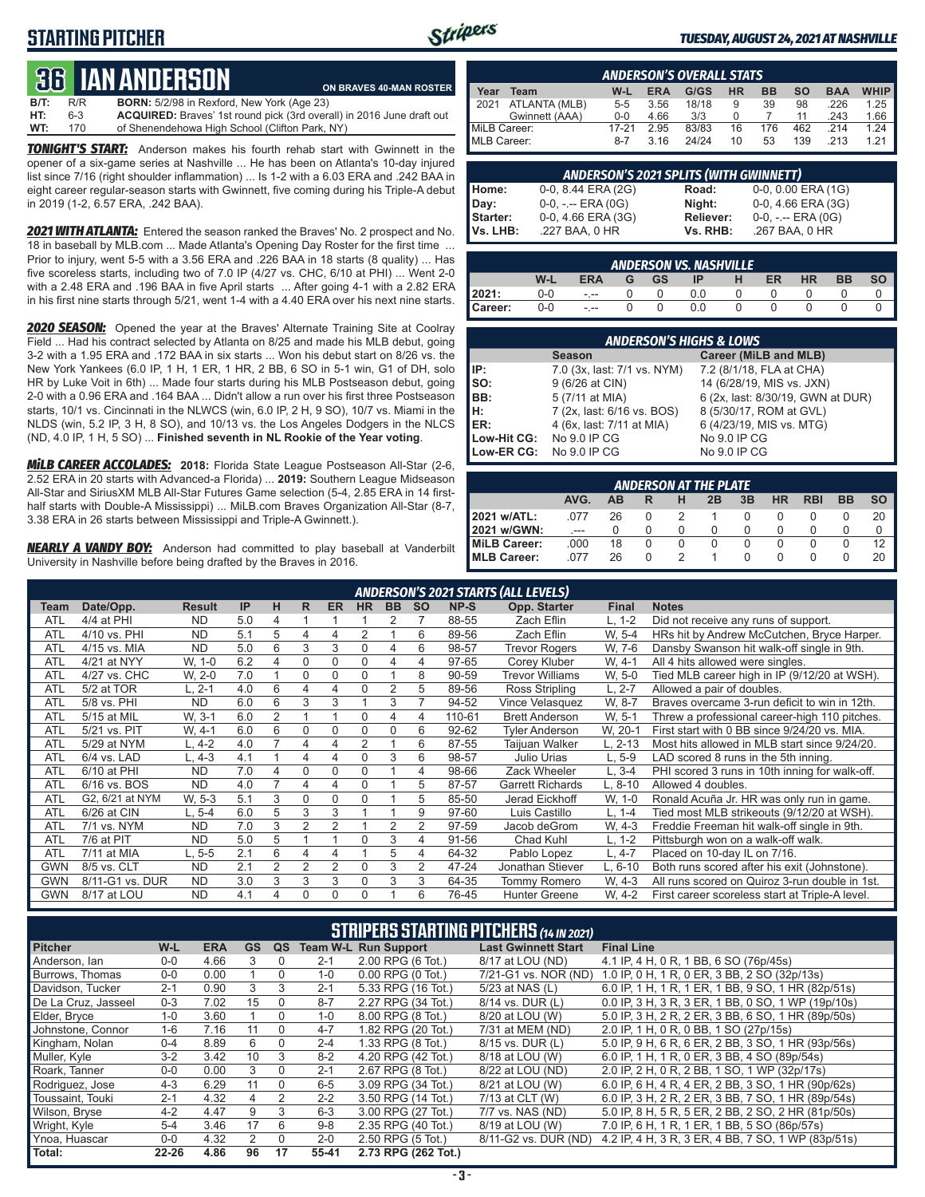### **STARTING PITCHER**



#### *TUESDAY, AUGUST 24, 2021 AT NASHVILLE*

# **36****IAN ANDERSON**

**B/T:** R/R **BORN:** 5/2/98 in Rexford, New York (Age 23)<br>**HT:** 6-3 **ACQUIRED:** Braves' 1st round pick (3rd over **HT:** 6-3 **ACQUIRED:** Braves' 1st round pick (3rd overall) in 2016 June draft out **WT:** 170 of Shenendehowa High School (Clifton Park, NY) **ON BRAVES 40-MAN ROSTER**

*TONIGHT'S START:* Anderson makes his fourth rehab start with Gwinnett in the opener of a six-game series at Nashville ... He has been on Atlanta's 10-day injured list since 7/16 (right shoulder inflammation) ... Is 1-2 with a 6.03 ERA and .242 BAA in eight career regular-season starts with Gwinnett, five coming during his Triple-A debut in 2019 (1-2, 6.57 ERA, .242 BAA).

*2021 WITH ATLANTA:* Entered the season ranked the Braves' No. 2 prospect and No. 18 in baseball by MLB.com ... Made Atlanta's Opening Day Roster for the first time ... Prior to injury, went 5-5 with a 3.56 ERA and .226 BAA in 18 starts (8 quality) ... Has five scoreless starts, including two of 7.0 IP (4/27 vs. CHC, 6/10 at PHI) ... Went 2-0 with a 2.48 ERA and .196 BAA in five April starts ... After going 4-1 with a 2.82 ERA in his first nine starts through 5/21, went 1-4 with a 4.40 ERA over his next nine starts.

*2020 SEASON:* Opened the year at the Braves' Alternate Training Site at Coolray Field ... Had his contract selected by Atlanta on 8/25 and made his MLB debut, going 3-2 with a 1.95 ERA and .172 BAA in six starts ... Won his debut start on 8/26 vs. the New York Yankees (6.0 IP, 1 H, 1 ER, 1 HR, 2 BB, 6 SO in 5-1 win, G1 of DH, solo HR by Luke Voit in 6th) ... Made four starts during his MLB Postseason debut, going 2-0 with a 0.96 ERA and .164 BAA ... Didn't allow a run over his first three Postseason starts, 10/1 vs. Cincinnati in the NLWCS (win, 6.0 IP, 2 H, 9 SO), 10/7 vs. Miami in the NLDS (win, 5.2 IP, 3 H, 8 SO), and 10/13 vs. the Los Angeles Dodgers in the NLCS (ND, 4.0 IP, 1 H, 5 SO) ... **Finished seventh in NL Rookie of the Year voting**.

*MiLB CAREER ACCOLADES:* **2018:** Florida State League Postseason All-Star (2-6, 2.52 ERA in 20 starts with Advanced-a Florida) ... **2019:** Southern League Midseason All-Star and SiriusXM MLB All-Star Futures Game selection (5-4, 2.85 ERA in 14 firsthalf starts with Double-A Mississippi) ... MiLB.com Braves Organization All-Star (8-7, 3.38 ERA in 26 starts between Mississippi and Triple-A Gwinnett.).

*NEARLY A VANDY BOY:* Anderson had committed to play baseball at Vanderbilt University in Nashville before being drafted by the Braves in 2016.

|              | <b>ANDERSON'S OVERALL STATS</b>                                                                       |         |      |       |    |     |     |      |      |  |  |  |  |  |  |
|--------------|-------------------------------------------------------------------------------------------------------|---------|------|-------|----|-----|-----|------|------|--|--|--|--|--|--|
| Year         | <b>WHIP</b><br><b>HR</b><br><b>BB</b><br><b>ERA</b><br>G/GS<br>W-L<br><b>SO</b><br><b>BAA</b><br>Team |         |      |       |    |     |     |      |      |  |  |  |  |  |  |
| 12021        | ATLANTA (MLB)                                                                                         | $5 - 5$ | 3.56 | 18/18 | 9  | 39  | 98  | .226 | 1.25 |  |  |  |  |  |  |
|              | Gwinnett (AAA)                                                                                        | $0 - 0$ | 4.66 | 3/3   |    |     | 11  | .243 | 1.66 |  |  |  |  |  |  |
| MiLB Career: |                                                                                                       | 17-21   | 2.95 | 83/83 | 16 | 176 | 462 | 214  | 1.24 |  |  |  |  |  |  |
| MLB Career:  |                                                                                                       | $8 - 7$ | 3.16 | 24/24 | 10 | 53  | 139 | .213 | 1 21 |  |  |  |  |  |  |

|                             | <b>ANDERSON'S 2021 SPLITS (WITH GWINNETT)</b> |                       |                                         |  |  |  |  |  |  |  |  |  |  |
|-----------------------------|-----------------------------------------------|-----------------------|-----------------------------------------|--|--|--|--|--|--|--|--|--|--|
| Home:                       | 0-0, 8.44 ERA (2G)                            | Road:                 | $0-0$ , $0.00$ ERA $(1G)$               |  |  |  |  |  |  |  |  |  |  |
| Day:                        | $0-0, - -$ ERA $(0G)$                         | Night:                | 0-0, 4.66 ERA (3G)                      |  |  |  |  |  |  |  |  |  |  |
| <b>Starter:</b><br>Vs. LHB: | 0-0, 4.66 ERA (3G)<br>.227 BAA, 0 HR          | Reliever:<br>Vs. RHB: | $0-0, - -$ ERA $(0G)$<br>.267 BAA, 0 HR |  |  |  |  |  |  |  |  |  |  |

|         | <b>ANDERSON VS. NASHVILLE</b> |                 |    |          |           |   |    |           |           |           |  |  |  |  |  |
|---------|-------------------------------|-----------------|----|----------|-----------|---|----|-----------|-----------|-----------|--|--|--|--|--|
|         | W-L                           | <b>ERA</b>      | G. | GS -     | <b>IP</b> | H | ER | <b>HR</b> | <b>BB</b> | <b>SO</b> |  |  |  |  |  |
| 2021:   | $0-0$                         | $\sim 10^{-10}$ |    | - 0      | 0.0       |   |    |           |           |           |  |  |  |  |  |
| Career: | $0-0$                         | $\sim 100$      |    | $\Omega$ | 0.0       | 0 |    |           |           |           |  |  |  |  |  |

|                                        | <b>ANDERSON'S HIGHS &amp; LOWS</b> |                                   |  |  |  |  |  |  |  |  |  |  |
|----------------------------------------|------------------------------------|-----------------------------------|--|--|--|--|--|--|--|--|--|--|
| Career (MiLB and MLB)<br><b>Season</b> |                                    |                                   |  |  |  |  |  |  |  |  |  |  |
| IP:                                    | 7.0 (3x, last: 7/1 vs. NYM)        | 7.2 (8/1/18, FLA at CHA)          |  |  |  |  |  |  |  |  |  |  |
| SO:                                    | 9 (6/26 at CIN)                    | 14 (6/28/19, MIS vs. JXN)         |  |  |  |  |  |  |  |  |  |  |
| BB:                                    | 5 (7/11 at MIA)                    | 6 (2x, last: 8/30/19, GWN at DUR) |  |  |  |  |  |  |  |  |  |  |
| H:                                     | 7 (2x, last: 6/16 vs. BOS)         | 8 (5/30/17, ROM at GVL)           |  |  |  |  |  |  |  |  |  |  |
| ER:                                    | 4 (6x, last: 7/11 at MIA)          | 6 (4/23/19, MIS vs. MTG)          |  |  |  |  |  |  |  |  |  |  |
| Low-Hit CG:                            | No 9.0 IP CG                       | No 9.0 IP CG                      |  |  |  |  |  |  |  |  |  |  |
|                                        | Low-ER CG: No 9.0 IP CG            | No 9.0 IP CG                      |  |  |  |  |  |  |  |  |  |  |

|                                                               | <b>ANDERSON AT THE PLATE</b> |    |  |  |  |  |  |  |  |    |  |  |  |  |  |
|---------------------------------------------------------------|------------------------------|----|--|--|--|--|--|--|--|----|--|--|--|--|--|
| AVG.<br>3B<br>HR<br><b>RBI</b><br>BB<br><b>SO</b><br>ΔR<br>2B |                              |    |  |  |  |  |  |  |  |    |  |  |  |  |  |
| 2021 w/ATL:                                                   | 077                          | 26 |  |  |  |  |  |  |  | 20 |  |  |  |  |  |
| 2021 w/GWN:                                                   |                              |    |  |  |  |  |  |  |  |    |  |  |  |  |  |
| MiLB Career:                                                  | .000                         | 18 |  |  |  |  |  |  |  | 12 |  |  |  |  |  |
| MLB Career:                                                   |                              | 26 |  |  |  |  |  |  |  |    |  |  |  |  |  |

|            | <b>ANDERSON'S 2021 STARTS (ALL LEVELS)</b> |               |           |                |                |                |           |                |                |           |                         |              |                                                 |  |
|------------|--------------------------------------------|---------------|-----------|----------------|----------------|----------------|-----------|----------------|----------------|-----------|-------------------------|--------------|-------------------------------------------------|--|
| Team       | Date/Opp.                                  | <b>Result</b> | <b>IP</b> | н              | R              | <b>ER</b>      | <b>HR</b> | <b>BB</b>      | <b>SO</b>      | NP-S      | Opp. Starter            | <b>Final</b> | <b>Notes</b>                                    |  |
| <b>ATL</b> | 4/4 at PHI                                 | <b>ND</b>     | 5.0       | 4              |                |                |           | 2              |                | 88-55     | Zach Eflin              | $L, 1-2$     | Did not receive any runs of support.            |  |
| ATL        | 4/10 vs. PHI                               | <b>ND</b>     | 5.1       | 5              | 4              | 4              | 2         |                | 6              | 89-56     | Zach Eflin              | W. 5-4       | HRs hit by Andrew McCutchen, Bryce Harper.      |  |
| ATL        | 4/15 vs. MIA                               | <b>ND</b>     | 5.0       | 6              | 3              | 3              | 0         | 4              | 6              | 98-57     | <b>Trevor Rogers</b>    | W. 7-6       | Dansby Swanson hit walk-off single in 9th.      |  |
| <b>ATL</b> | 4/21 at NYY                                | W, 1-0        | 6.2       | 4              | 0              | 0              | 0         | 4              | 4              | 97-65     | Corey Kluber            | W. 4-1       | All 4 hits allowed were singles.                |  |
| <b>ATL</b> | 4/27 vs. CHC                               | W. 2-0        | 7.0       |                | 0              | 0              | 0         |                | 8              | 90-59     | <b>Trevor Williams</b>  | W, 5-0       | Tied MLB career high in IP (9/12/20 at WSH).    |  |
| <b>ATL</b> | 5/2 at TOR                                 | L. 2-1        | 4.0       | 6              | 4              | 4              | 0         | 2              | 5              | 89-56     | Ross Stripling          | $L, 2-7$     | Allowed a pair of doubles.                      |  |
| ATL        | 5/8 vs. PHI                                | <b>ND</b>     | 6.0       | 6              | 3              | 3              |           | 3              |                | 94-52     | Vince Velasquez         | W. 8-7       | Braves overcame 3-run deficit to win in 12th.   |  |
| ATL        | 5/15 at MIL                                | W. 3-1        | 6.0       | $\overline{2}$ |                |                | 0         | 4              | 4              | 110-61    | <b>Brett Anderson</b>   | W. 5-1       | Threw a professional career-high 110 pitches.   |  |
| <b>ATL</b> | 5/21 vs. PIT                               | W. 4-1        | 6.0       | 6              | 0              | 0              | 0         | 0              | 6              | $92 - 62$ | <b>Tyler Anderson</b>   | W, 20-1      | First start with 0 BB since 9/24/20 vs. MIA.    |  |
| <b>ATL</b> | 5/29 at NYM                                | L, 4-2        | 4.0       | $\overline{ }$ | 4              | 4              | 2         |                | 6              | 87-55     | Taijuan Walker          | L, 2-13      | Most hits allowed in MLB start since 9/24/20.   |  |
| <b>ATL</b> | 6/4 vs. LAD                                | L. 4-3        | 4.1       |                | 4              | 4              | 0         | 3              | 6              | 98-57     | Julio Urias             | $L, 5-9$     | LAD scored 8 runs in the 5th inning.            |  |
| ATL        | 6/10 at PHI                                | <b>ND</b>     | 7.0       | 4              | 0              | 0              | 0         |                | 4              | 98-66     | Zack Wheeler            | L. 3-4       | PHI scored 3 runs in 10th inning for walk-off.  |  |
| ATL        | 6/16 vs. BOS                               | <b>ND</b>     | 4.0       |                | 4              | 4              | 0         |                | 5              | 87-57     | <b>Garrett Richards</b> | L, 8-10      | Allowed 4 doubles.                              |  |
| <b>ATL</b> | G2, 6/21 at NYM                            | W. 5-3        | 5.1       | 3              | 0              | 0              | 0         |                | 5              | 85-50     | Jerad Eickhoff          | W, 1-0       | Ronald Acuña Jr. HR was only run in game.       |  |
| <b>ATL</b> | 6/26 at CIN                                | L. 5-4        | 6.0       | 5              | 3              | 3              |           |                | 9              | 97-60     | Luis Castillo           | $L. 1 - 4$   | Tied most MLB strikeouts (9/12/20 at WSH).      |  |
| <b>ATL</b> | 7/1 vs. NYM                                | <b>ND</b>     | 7.0       | 3              | $\overline{2}$ | $\mathfrak{p}$ |           | $\overline{2}$ | $\overline{2}$ | 97-59     | Jacob deGrom            | W. 4-3       | Freddie Freeman hit walk-off single in 9th.     |  |
| ATL        | 7/6 at PIT                                 | <b>ND</b>     | 5.0       | 5              |                |                | 0         | 3              | 4              | 91-56     | Chad Kuhl               | L. 1-2       | Pittsburgh won on a walk-off walk.              |  |
| <b>ATL</b> | 7/11 at MIA                                | $L.5 - 5$     | 2.1       | 6              | 4              | 4              |           | 5              | 4              | 64-32     | Pablo Lopez             | $L, 4-7$     | Placed on 10-day IL on 7/16.                    |  |
| <b>GWN</b> | 8/5 vs. CLT                                | <b>ND</b>     | 2.1       | $\overline{2}$ | $\overline{2}$ | $\overline{2}$ | 0         | 3              | $\overline{2}$ | 47-24     | Jonathan Stiever        | L, 6-10      | Both runs scored after his exit (Johnstone).    |  |
| <b>GWN</b> | 8/11-G1 vs. DUR                            | <b>ND</b>     | 3.0       | 3              | 3              | 3              | 0         | 3              | 3              | 64-35     | <b>Tommy Romero</b>     | W. 4-3       | All runs scored on Quiroz 3-run double in 1st.  |  |
| <b>GWN</b> | 8/17 at LOU                                | <b>ND</b>     | 4.1       | 4              | 0              | 0              | 0         |                | 6              | 76-45     | <b>Hunter Greene</b>    | W. 4-2       | First career scoreless start at Triple-A level. |  |

|                     | <b>STRIPERS STARTING PITCHERS (14 IN 2021)</b> |            |               |          |         |                             |                            |                                                    |  |  |  |  |  |
|---------------------|------------------------------------------------|------------|---------------|----------|---------|-----------------------------|----------------------------|----------------------------------------------------|--|--|--|--|--|
| <b>Pitcher</b>      | W-L                                            | <b>ERA</b> | GS            | QS       |         | <b>Team W-L Run Support</b> | <b>Last Gwinnett Start</b> | <b>Final Line</b>                                  |  |  |  |  |  |
| Anderson, Ian       | $0-0$                                          | 4.66       |               | 0        | $2 - 1$ | 2.00 RPG (6 Tot.)           | 8/17 at LOU (ND)           | 4.1 IP, 4 H, 0 R, 1 BB, 6 SO (76p/45s)             |  |  |  |  |  |
| Burrows, Thomas     | $0 - 0$                                        | 0.00       |               | 0        | $1 - 0$ | $0.00$ RPG $(0$ Tot.)       | 7/21-G1 vs. NOR (ND)       | 1.0 IP, 0 H, 1 R, 0 ER, 3 BB, 2 SO (32p/13s)       |  |  |  |  |  |
| Davidson, Tucker    | $2 - 1$                                        | 0.90       | 3             | 3        | $2 - 1$ | 5.33 RPG (16 Tot.)          | 5/23 at NAS (L)            | 6.0 IP, 1 H, 1 R, 1 ER, 1 BB, 9 SO, 1 HR (82p/51s) |  |  |  |  |  |
| De La Cruz, Jasseel | $0 - 3$                                        | 7.02       | 15            | $\Omega$ | $8 - 7$ | 2.27 RPG (34 Tot.)          | 8/14 vs. DUR (L)           | 0.0 IP, 3 H, 3 R, 3 ER, 1 BB, 0 SO, 1 WP (19p/10s) |  |  |  |  |  |
| Elder, Bryce        | $1 - 0$                                        | 3.60       |               | $\Omega$ | $1 - 0$ | 8.00 RPG (8 Tot.)           | 8/20 at LOU (W)            | 5.0 IP, 3 H, 2 R, 2 ER, 3 BB, 6 SO, 1 HR (89p/50s) |  |  |  |  |  |
| Johnstone, Connor   | $1 - 6$                                        | 7.16       | 11            | $\Omega$ | $4 - 7$ | 1.82 RPG (20 Tot.)          | 7/31 at MEM (ND)           | 2.0 IP, 1 H, 0 R, 0 BB, 1 SO (27p/15s)             |  |  |  |  |  |
| Kingham, Nolan      | $0 - 4$                                        | 8.89       | 6             | $\Omega$ | $2 - 4$ | 1.33 RPG (8 Tot.)           | 8/15 vs. DUR (L)           | 5.0 IP, 9 H, 6 R, 6 ER, 2 BB, 3 SO, 1 HR (93p/56s) |  |  |  |  |  |
| Muller, Kyle        | $3-2$                                          | 3.42       | 10            | 3        | $8-2$   | 4.20 RPG (42 Tot.)          | 8/18 at LOU (W)            | 6.0 IP, 1 H, 1 R, 0 ER, 3 BB, 4 SO (89p/54s)       |  |  |  |  |  |
| Roark, Tanner       | $0-0$                                          | 0.00       | 3             | 0        | $2 - 1$ | 2.67 RPG (8 Tot.)           | 8/22 at LOU (ND)           | 2.0 IP, 2 H, 0 R, 2 BB, 1 SO, 1 WP (32p/17s)       |  |  |  |  |  |
| Rodriguez, Jose     | $4 - 3$                                        | 6.29       | 11            | $\Omega$ | $6-5$   | 3.09 RPG (34 Tot.)          | 8/21 at LOU (W)            | 6.0 IP, 6 H, 4 R, 4 ER, 2 BB, 3 SO, 1 HR (90p/62s) |  |  |  |  |  |
| Toussaint. Touki    | $2 - 1$                                        | 4.32       | 4             | 2        | $2 - 2$ | 3.50 RPG (14 Tot.)          | 7/13 at CLT (W)            | 6.0 IP, 3 H, 2 R, 2 ER, 3 BB, 7 SO, 1 HR (89p/54s) |  |  |  |  |  |
| Wilson, Bryse       | $4 - 2$                                        | 4.47       | 9             | 3        | $6 - 3$ | 3.00 RPG (27 Tot.)          | 7/7 vs. NAS (ND)           | 5.0 IP, 8 H, 5 R, 5 ER, 2 BB, 2 SO, 2 HR (81p/50s) |  |  |  |  |  |
| Wright, Kyle        | $5 - 4$                                        | 3.46       | 17            | 6        | $9 - 8$ | 2.35 RPG (40 Tot.)          | 8/19 at LOU (W)            | 7.0 IP, 6 H, 1 R, 1 ER, 1 BB, 5 SO (86p/57s)       |  |  |  |  |  |
| Ynoa, Huascar       | $0 - 0$                                        | 4.32       | $\mathcal{P}$ | $\Omega$ | $2 - 0$ | 2.50 RPG (5 Tot.)           | 8/11-G2 vs. DUR (ND)       | 4.2 IP, 4 H, 3 R, 3 ER, 4 BB, 7 SO, 1 WP (83p/51s) |  |  |  |  |  |
| Total:              | $22 - 26$                                      | 4.86       | 96            | 17       | 55-41   | 2.73 RPG (262 Tot.)         |                            |                                                    |  |  |  |  |  |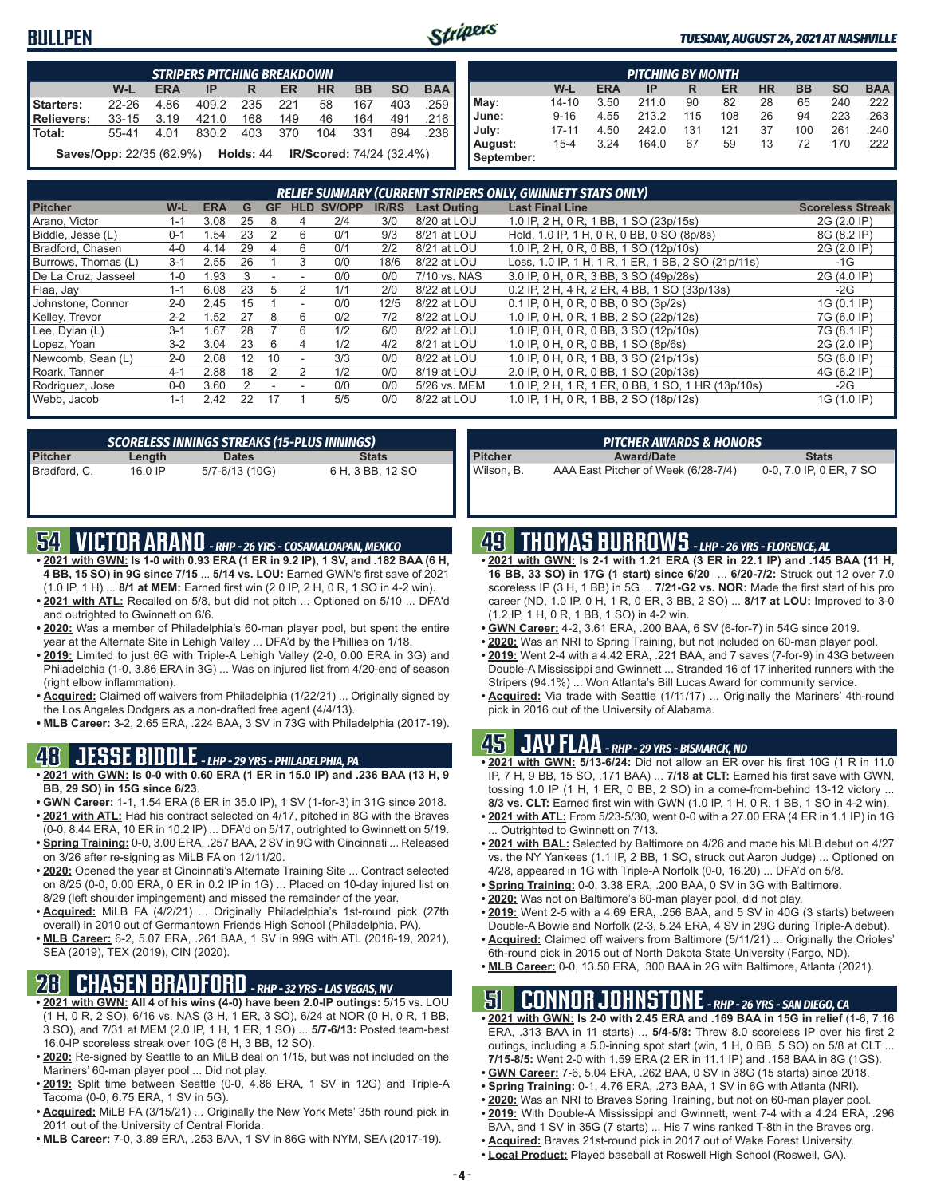### **BULLPEN**



#### *TUESDAY, AUGUST 24, 2021 AT NASHVILLE*

|            |                                                                                    |       | <b>STRIPERS PITCHING BREAKDOWN</b> |           |     |                          |     |     |        |  |  |  |  |  |  |
|------------|------------------------------------------------------------------------------------|-------|------------------------------------|-----------|-----|--------------------------|-----|-----|--------|--|--|--|--|--|--|
|            | <b>BAA</b><br><b>SO</b><br>BB<br>$W-L$<br><b>HR</b><br><b>ERA</b><br>ER<br>IP<br>R |       |                                    |           |     |                          |     |     |        |  |  |  |  |  |  |
| Starters:  | $22 - 26$                                                                          | 4.86  | 409.2                              | 235       | 221 | 58                       | 167 | 403 | .259 I |  |  |  |  |  |  |
| Relievers: | $33 - 15$                                                                          | 3.19  | 421.0                              | 168       | 149 | 46                       | 164 | 491 | .216 ∎ |  |  |  |  |  |  |
| l Total:   | 55-41                                                                              | 4 0 1 | 830.2                              | 403       | 370 | 104                      | 331 | 894 | .238   |  |  |  |  |  |  |
|            | <b>Saves/Opp: 22/35 (62.9%)</b>                                                    |       |                                    | Holds: 44 |     | IR/Scored: 74/24 (32.4%) |     |     |        |  |  |  |  |  |  |

|                       |                                                                                         |      | <b>PITCHING BY MONTH</b> |     |     |    |     |     |                       |  |  |  |  |  |  |
|-----------------------|-----------------------------------------------------------------------------------------|------|--------------------------|-----|-----|----|-----|-----|-----------------------|--|--|--|--|--|--|
|                       | <b>BAA</b><br><b>SO</b><br><b>HR</b><br><b>BB</b><br>W-L<br><b>ERA</b><br>ER<br>IP<br>R |      |                          |     |     |    |     |     |                       |  |  |  |  |  |  |
| May:                  | $14 - 10$                                                                               | 3.50 | 211.0                    | 90  | 82  | 28 | 65  | 240 | .222 I                |  |  |  |  |  |  |
| June:                 | $9 - 16$                                                                                | 4.55 | 213.2                    | 115 | 108 | 26 | 94  | 223 | .263                  |  |  |  |  |  |  |
| July:                 | $17 - 11$                                                                               | 4.50 | 242.0                    | 131 | 121 | 37 | 100 | 261 | $.240$ $\blacksquare$ |  |  |  |  |  |  |
| August:<br>September: | $15 - 4$                                                                                | 3.24 | 164.0                    | 67  | 59  | 13 | 72  | 170 | .222                  |  |  |  |  |  |  |

|                     | RELIEF SUMMARY (CURRENT STRIPERS ONLY, GWINNETT STATS ONLY) |            |    |           |                          |        |              |                    |                                                    |                         |
|---------------------|-------------------------------------------------------------|------------|----|-----------|--------------------------|--------|--------------|--------------------|----------------------------------------------------|-------------------------|
| <b>Pitcher</b>      | W-L                                                         | <b>ERA</b> | G  | <b>GF</b> | <b>HLD</b>               | SV/OPP | <b>IR/RS</b> | <b>Last Outing</b> | <b>Last Final Line</b>                             | <b>Scoreless Streak</b> |
| Arano. Victor       | $1 - 1$                                                     | 3.08       | 25 | 8         | ⊿                        | 2/4    | 3/0          | 8/20 at LOU        | 1.0 IP, 2 H, 0 R, 1 BB, 1 SO (23p/15s)             | 2G (2.0 IP)             |
| Biddle, Jesse (L)   | $0 - 1$                                                     | .54        | 23 |           | 6                        | 0/1    | 9/3          | 8/21 at LOU        | Hold, 1.0 IP, 1 H, 0 R, 0 BB, 0 SO (8p/8s)         | 8G (8.2 IP)             |
| Bradford, Chasen    | $4 - 0$                                                     | 4.14       | 29 |           | 6                        | 0/1    | 2/2          | 8/21 at LOU        | 1.0 IP, 2 H, 0 R, 0 BB, 1 SO (12p/10s)             | 2G (2.0 IP)             |
| Burrows, Thomas (L) | $3 - 1$                                                     | 2.55       | 26 |           | 3                        | 0/0    | 18/6         | 8/22 at LOU        | Loss, 1.0 IP, 1 H, 1 R, 1 ER, 1 BB, 2 SO (21p/11s) | $-1G$                   |
| De La Cruz. Jasseel | $1 - 0$                                                     | 1.93       | 3  | ۰         | $\overline{\phantom{a}}$ | 0/0    | 0/0          | 7/10 vs. NAS       | 3.0 IP, 0 H, 0 R, 3 BB, 3 SO (49p/28s)             | 2G (4.0 IP)             |
| Flaa, Jay           | $1 - 1$                                                     | 6.08       | 23 | 5         |                          | 1/1    | 2/0          | 8/22 at LOU        | 0.2 IP, 2 H, 4 R, 2 ER, 4 BB, 1 SO (33p/13s)       | $-2G$                   |
| Johnstone, Connor   | $2 - 0$                                                     | 2.45       | 15 |           |                          | 0/0    | 12/5         | 8/22 at LOU        | 0.1 IP. 0 H. 0 R. 0 BB. 0 SO (3p/2s)               | 1G (0.1 IP)             |
| Kelley, Trevor      | $2 - 2$                                                     | .52        | 27 | 8         | 6                        | 0/2    | 7/2          | 8/22 at LOU        | 1.0 IP, 0 H, 0 R, 1 BB, 2 SO (22p/12s)             | 7G (6.0 IP)             |
| Lee, Dylan (L)      | $3 - 1$                                                     | .67        | 28 |           | 6                        | 1/2    | 6/0          | 8/22 at LOU        | 1.0 IP. 0 H. 0 R. 0 BB. 3 SO (12p/10s)             | 7G (8.1 IP)             |
| Lopez, Yoan         | $3 - 2$                                                     | 3.04       | 23 | 6         | 4                        | 1/2    | 4/2          | 8/21 at LOU        | 1.0 IP, 0 H, 0 R, 0 BB, 1 SO (8p/6s)               | 2G (2.0 IP)             |
| Newcomb, Sean (L)   | $2 - 0$                                                     | 2.08       | 12 | 10        |                          | 3/3    | 0/0          | 8/22 at LOU        | 1.0 IP, 0 H, 0 R, 1 BB, 3 SO (21p/13s)             | 5G (6.0 IP)             |
| Roark, Tanner       | $4 - 1$                                                     | 2.88       | 18 |           |                          | 1/2    | 0/0          | 8/19 at LOU        | 2.0 IP, 0 H, 0 R, 0 BB, 1 SO (20p/13s)             | 4G (6.2 IP)             |
| Rodriguez, Jose     | $0 - 0$                                                     | 3.60       |    |           |                          | 0/0    | 0/0          | 5/26 vs. MEM       | 1.0 IP, 2 H, 1 R, 1 ER, 0 BB, 1 SO, 1 HR (13p/10s) | -2G                     |
| Webb, Jacob         | $1 - 1$                                                     | 2.42       | 22 | 17        |                          | 5/5    | 0/0          | 8/22 at LOU        | 1.0 IP, 1 H, 0 R, 1 BB, 2 SO (18p/12s)             | 1G (1.0 IP)             |

|                |         | <b>SCORELESS INNINGS STREAKS (15-PLUS INNINGS)</b> |                  |
|----------------|---------|----------------------------------------------------|------------------|
| <b>Pitcher</b> | Length  | <b>Dates</b>                                       | <b>Stats</b>     |
| Bradford, C.   | 16.0 IP | 5/7-6/13 (10G)                                     | 6 H, 3 BB, 12 SO |

### **54 VICTOR ARANO** *- RHP - 26 YRS - COSAMALOAPAN, MEXICO*

- **• 2021 with GWN: Is 1-0 with 0.93 ERA (1 ER in 9.2 IP), 1 SV, and .182 BAA (6 H, 4 BB, 15 SO) in 9G since 7/15** ... **5/14 vs. LOU:** Earned GWN's first save of 2021 (1.0 IP, 1 H) ... **8/1 at MEM:** Earned first win (2.0 IP, 2 H, 0 R, 1 SO in 4-2 win).
- **• 2021 with ATL:** Recalled on 5/8, but did not pitch ... Optioned on 5/10 ... DFA'd and outrighted to Gwinnett on 6/6.
- **• 2020:** Was a member of Philadelphia's 60-man player pool, but spent the entire year at the Alternate Site in Lehigh Valley ... DFA'd by the Phillies on 1/18.
- **• 2019:** Limited to just 6G with Triple-A Lehigh Valley (2-0, 0.00 ERA in 3G) and Philadelphia (1-0, 3.86 ERA in 3G) ... Was on injured list from 4/20-end of season (right elbow inflammation).
- **• Acquired:** Claimed off waivers from Philadelphia (1/22/21) ... Originally signed by the Los Angeles Dodgers as a non-drafted free agent (4/4/13).
- **• MLB Career:** 3-2, 2.65 ERA, .224 BAA, 3 SV in 73G with Philadelphia (2017-19).

### **48 JESSE BIDDLE** *- LHP - 29 YRS - PHILADELPHIA, PA*

- **• 2021 with GWN: Is 0-0 with 0.60 ERA (1 ER in 15.0 IP) and .236 BAA (13 H, 9 BB, 29 SO) in 15G since 6/23**.
- **• GWN Career:** 1-1, 1.54 ERA (6 ER in 35.0 IP), 1 SV (1-for-3) in 31G since 2018. **• 2021 with ATL:** Had his contract selected on 4/17, pitched in 8G with the Braves
- (0-0, 8.44 ERA, 10 ER in 10.2 IP) ... DFA'd on 5/17, outrighted to Gwinnett on 5/19. **• Spring Training:** 0-0, 3.00 ERA, .257 BAA, 2 SV in 9G with Cincinnati ... Released
- on 3/26 after re-signing as MiLB FA on 12/11/20. **• 2020:** Opened the year at Cincinnati's Alternate Training Site ... Contract selected
- on 8/25 (0-0, 0.00 ERA, 0 ER in 0.2 IP in 1G) ... Placed on 10-day injured list on 8/29 (left shoulder impingement) and missed the remainder of the year.
- **• Acquired:** MiLB FA (4/2/21) ... Originally Philadelphia's 1st-round pick (27th overall) in 2010 out of Germantown Friends High School (Philadelphia, PA).
- **• MLB Career:** 6-2, 5.07 ERA, .261 BAA, 1 SV in 99G with ATL (2018-19, 2021), SEA (2019), TEX (2019), CIN (2020).

### **28 CHASEN BRADFORD** *- RHP - 32 YRS - LAS VEGAS, NV*

- **• 2021 with GWN: All 4 of his wins (4-0) have been 2.0-IP outings:** 5/15 vs. LOU (1 H, 0 R, 2 SO), 6/16 vs. NAS (3 H, 1 ER, 3 SO), 6/24 at NOR (0 H, 0 R, 1 BB, 3 SO), and 7/31 at MEM (2.0 IP, 1 H, 1 ER, 1 SO) ... **5/7-6/13:** Posted team-best 16.0-IP scoreless streak over 10G (6 H, 3 BB, 12 SO).
- **• 2020:** Re-signed by Seattle to an MiLB deal on 1/15, but was not included on the Mariners' 60-man player pool ... Did not play.
- **• 2019:** Split time between Seattle (0-0, 4.86 ERA, 1 SV in 12G) and Triple-A Tacoma (0-0, 6.75 ERA, 1 SV in 5G).
- **• Acquired:** MiLB FA (3/15/21) ... Originally the New York Mets' 35th round pick in 2011 out of the University of Central Florida.
- **• MLB Career:** 7-0, 3.89 ERA, .253 BAA, 1 SV in 86G with NYM, SEA (2017-19).

|                | PITCHER AWARDS & HONORS             |                         |
|----------------|-------------------------------------|-------------------------|
| <b>Pitcher</b> | <b>Award/Date</b>                   | <b>Stats</b>            |
| Wilson. B.     | AAA East Pitcher of Week (6/28-7/4) | 0-0, 7.0 IP, 0 ER, 7 SO |

### **49 THOMAS BURROWS** *- LHP - 26 YRS - FLORENCE, AL*

- **• 2021 with GWN: Is 2-1 with 1.21 ERA (3 ER in 22.1 IP) and .145 BAA (11 H, 16 BB, 33 SO) in 17G (1 start) since 6/20** ... **6/20-7/2:** Struck out 12 over 7.0 scoreless IP (3 H, 1 BB) in 5G ... **7/21-G2 vs. NOR:** Made the first start of his pro career (ND, 1.0 IP, 0 H, 1 R, 0 ER, 3 BB, 2 SO) ... **8/17 at LOU:** Improved to 3-0 (1.2 IP, 1 H, 0 R, 1 BB, 1 SO) in 4-2 win.
- **• GWN Career:** 4-2, 3.61 ERA, .200 BAA, 6 SV (6-for-7) in 54G since 2019.
- **• 2020:** Was an NRI to Spring Training, but not included on 60-man player pool.
- **• 2019:** Went 2-4 with a 4.42 ERA, .221 BAA, and 7 saves (7-for-9) in 43G between Double-A Mississippi and Gwinnett ... Stranded 16 of 17 inherited runners with the Stripers (94.1%) ... Won Atlanta's Bill Lucas Award for community service.
- **• Acquired:** Via trade with Seattle (1/11/17) ... Originally the Mariners' 4th-round pick in 2016 out of the University of Alabama.

### **45 JAY FLAA** *- RHP - 29 YRS - BISMARCK, ND*

- **• 2021 with GWN: 5/13-6/24:** Did not allow an ER over his first 10G (1 R in 11.0 IP, 7 H, 9 BB, 15 SO, .171 BAA) ... **7/18 at CLT:** Earned his first save with GWN, tossing 1.0 IP (1 H, 1 ER, 0 BB, 2 SO) in a come-from-behind 13-12 victory ... **8/3 vs. CLT:** Earned first win with GWN (1.0 IP, 1 H, 0 R, 1 BB, 1 SO in 4-2 win).
- **• 2021 with ATL:** From 5/23-5/30, went 0-0 with a 27.00 ERA (4 ER in 1.1 IP) in 1G . Outrighted to Gwinnett on 7/13.
- **• 2021 with BAL:** Selected by Baltimore on 4/26 and made his MLB debut on 4/27 vs. the NY Yankees (1.1 IP, 2 BB, 1 SO, struck out Aaron Judge) ... Optioned on 4/28, appeared in 1G with Triple-A Norfolk (0-0, 16.20) ... DFA'd on 5/8.
- **• Spring Training:** 0-0, 3.38 ERA, .200 BAA, 0 SV in 3G with Baltimore.
- **• 2020:** Was not on Baltimore's 60-man player pool, did not play.
- **• 2019:** Went 2-5 with a 4.69 ERA, .256 BAA, and 5 SV in 40G (3 starts) between Double-A Bowie and Norfolk (2-3, 5.24 ERA, 4 SV in 29G during Triple-A debut).
- **• Acquired:** Claimed off waivers from Baltimore (5/11/21) ... Originally the Orioles' 6th-round pick in 2015 out of North Dakota State University (Fargo, ND).
- **• MLB Career:** 0-0, 13.50 ERA, .300 BAA in 2G with Baltimore, Atlanta (2021).

### **51 CONNOR JOHNSTONE** *- RHP - 26 YRS - SAN DIEGO, CA*

- **• 2021 with GWN: Is 2-0 with 2.45 ERA and .169 BAA in 15G in relief** (1-6, 7.16 ERA, .313 BAA in 11 starts) ... **5/4-5/8:** Threw 8.0 scoreless IP over his first 2 outings, including a 5.0-inning spot start (win, 1 H, 0 BB, 5 SO) on 5/8 at CLT ... **7/15-8/5:** Went 2-0 with 1.59 ERA (2 ER in 11.1 IP) and .158 BAA in 8G (1GS).
- **• GWN Career:** 7-6, 5.04 ERA, .262 BAA, 0 SV in 38G (15 starts) since 2018.
- **• Spring Training:** 0-1, 4.76 ERA, .273 BAA, 1 SV in 6G with Atlanta (NRI). **• 2020:** Was an NRI to Braves Spring Training, but not on 60-man player pool.
- **• 2019:** With Double-A Mississippi and Gwinnett, went 7-4 with a 4.24 ERA, .296
- BAA, and 1 SV in 35G (7 starts) ... His 7 wins ranked T-8th in the Braves org. **• Acquired:** Braves 21st-round pick in 2017 out of Wake Forest University.
- **• Local Product:** Played baseball at Roswell High School (Roswell, GA).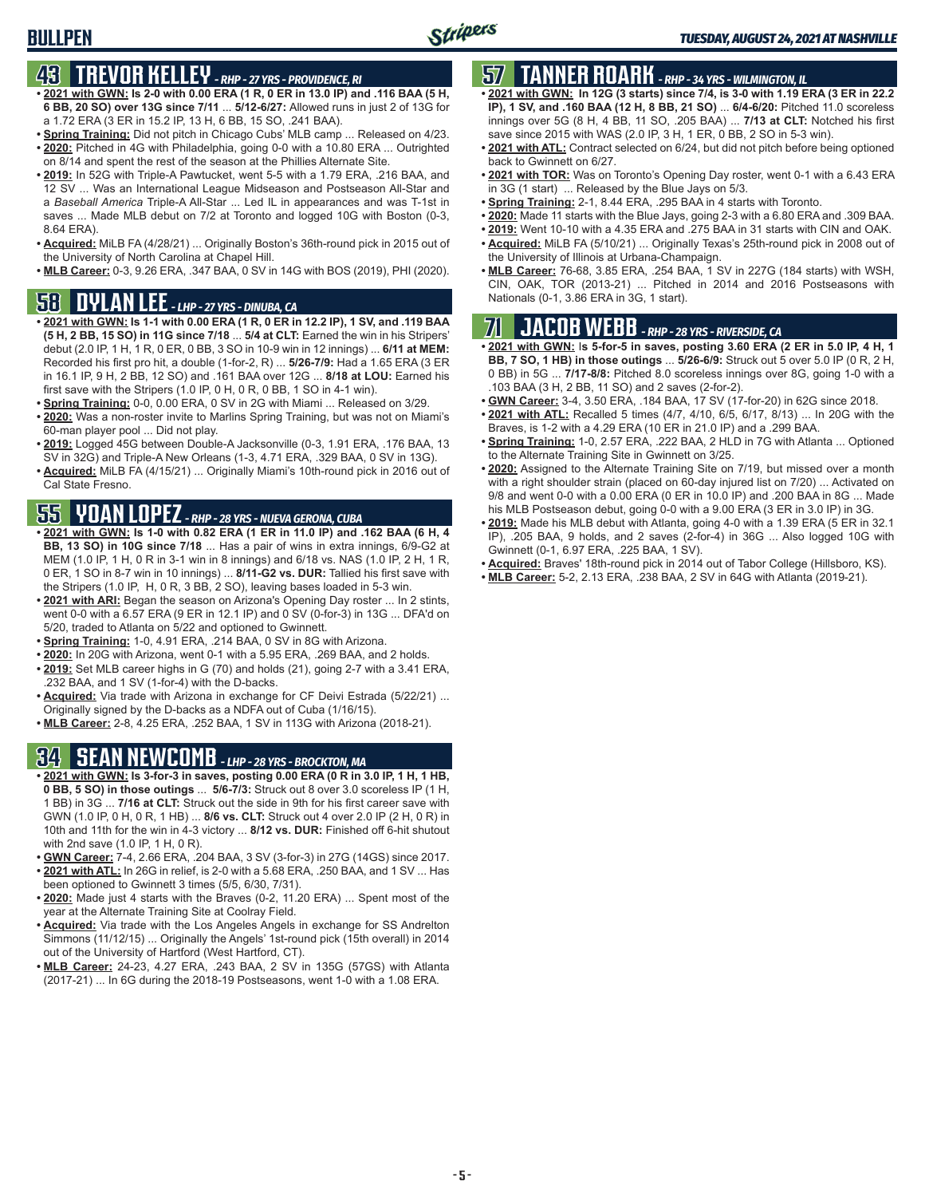### **BULLPEN**

### **43 TREVOR KELLEY** *- RHP - 27 YRS - PROVIDENCE, RI*

- **• 2021 with GWN: Is 2-0 with 0.00 ERA (1 R, 0 ER in 13.0 IP) and .116 BAA (5 H, 6 BB, 20 SO) over 13G since 7/11** ... **5/12-6/27:** Allowed runs in just 2 of 13G for a 1.72 ERA (3 ER in 15.2 IP, 13 H, 6 BB, 15 SO, .241 BAA).
- **• Spring Training:** Did not pitch in Chicago Cubs' MLB camp ... Released on 4/23. **• 2020:** Pitched in 4G with Philadelphia, going 0-0 with a 10.80 ERA ... Outrighted on 8/14 and spent the rest of the season at the Phillies Alternate Site.
- **• 2019:** In 52G with Triple-A Pawtucket, went 5-5 with a 1.79 ERA, .216 BAA, and 12 SV ... Was an International League Midseason and Postseason All-Star and a *Baseball America* Triple-A All-Star ... Led IL in appearances and was T-1st in saves ... Made MLB debut on 7/2 at Toronto and logged 10G with Boston (0-3, 8.64 ERA).
- **• Acquired:** MiLB FA (4/28/21) ... Originally Boston's 36th-round pick in 2015 out of the University of North Carolina at Chapel Hill.
- **• MLB Career:** 0-3, 9.26 ERA, .347 BAA, 0 SV in 14G with BOS (2019), PHI (2020).

### **58 DYLAN LEE** *- LHP - 27 YRS - DINUBA, CA*

- **• 2021 with GWN: Is 1-1 with 0.00 ERA (1 R, 0 ER in 12.2 IP), 1 SV, and .119 BAA (5 H, 2 BB, 15 SO) in 11G since 7/18** ... **5/4 at CLT:** Earned the win in his Stripers' debut (2.0 IP, 1 H, 1 R, 0 ER, 0 BB, 3 SO in 10-9 win in 12 innings) ... **6/11 at MEM:** Recorded his first pro hit, a double (1-for-2, R) ... **5/26-7/9:** Had a 1.65 ERA (3 ER in 16.1 IP, 9 H, 2 BB, 12 SO) and .161 BAA over 12G ... **8/18 at LOU:** Earned his first save with the Stripers (1.0 IP, 0 H, 0 R, 0 BB, 1 SO in 4-1 win).
- **• Spring Training:** 0-0, 0.00 ERA, 0 SV in 2G with Miami ... Released on 3/29.
- **• 2020:** Was a non-roster invite to Marlins Spring Training, but was not on Miami's 60-man player pool ... Did not play.
- **• 2019:** Logged 45G between Double-A Jacksonville (0-3, 1.91 ERA, .176 BAA, 13 SV in 32G) and Triple-A New Orleans (1-3, 4.71 ERA, .329 BAA, 0 SV in 13G).
- **• Acquired:** MiLB FA (4/15/21) ... Originally Miami's 10th-round pick in 2016 out of Cal State Fresno.

# **55 YOAN LOPEZ** *- RHP - 28 YRS - NUEVA GERONA, CUBA*

- **• 2021 with GWN: Is 1-0 with 0.82 ERA (1 ER in 11.0 IP) and .162 BAA (6 H, 4 BB, 13 SO) in 10G since 7/18** ... Has a pair of wins in extra innings, 6/9-G2 at MEM (1.0 IP, 1 H, 0 R in 3-1 win in 8 innings) and 6/18 vs. NAS (1.0 IP, 2 H, 1 R, 0 ER, 1 SO in 8-7 win in 10 innings) ... **8/11-G2 vs. DUR:** Tallied his first save with the Stripers (1.0 IP, H, 0 R, 3 BB, 2 SO), leaving bases loaded in 5-3 win.
- **• 2021 with ARI:** Began the season on Arizona's Opening Day roster ... In 2 stints, went 0-0 with a 6.57 ERA (9 ER in 12.1 IP) and 0 SV (0-for-3) in 13G ... DFA'd on 5/20, traded to Atlanta on 5/22 and optioned to Gwinnett.
- **• Spring Training:** 1-0, 4.91 ERA, .214 BAA, 0 SV in 8G with Arizona.
- **• 2020:** In 20G with Arizona, went 0-1 with a 5.95 ERA, .269 BAA, and 2 holds.
- **• 2019:** Set MLB career highs in G (70) and holds (21), going 2-7 with a 3.41 ERA, .232 BAA, and 1 SV (1-for-4) with the D-backs.
- **• Acquired:** Via trade with Arizona in exchange for CF Deivi Estrada (5/22/21) ... Originally signed by the D-backs as a NDFA out of Cuba (1/16/15).
- **• MLB Career:** 2-8, 4.25 ERA, .252 BAA, 1 SV in 113G with Arizona (2018-21).

### **34 SEAN NEWCOMB** *- LHP - 28 YRS - BROCKTON, MA*

- **• 2021 with GWN: Is 3-for-3 in saves, posting 0.00 ERA (0 R in 3.0 IP, 1 H, 1 HB, 0 BB, 5 SO) in those outings** ... **5/6-7/3:** Struck out 8 over 3.0 scoreless IP (1 H, 1 BB) in 3G ... **7/16 at CLT:** Struck out the side in 9th for his first career save with GWN (1.0 IP, 0 H, 0 R, 1 HB) ... **8/6 vs. CLT:** Struck out 4 over 2.0 IP (2 H, 0 R) in 10th and 11th for the win in 4-3 victory ... **8/12 vs. DUR:** Finished off 6-hit shutout with 2nd save (1.0 IP, 1 H, 0 R).
- **• GWN Career:** 7-4, 2.66 ERA, .204 BAA, 3 SV (3-for-3) in 27G (14GS) since 2017. **• 2021 with ATL:** In 26G in relief, is 2-0 with a 5.68 ERA, .250 BAA, and 1 SV ... Has
- been optioned to Gwinnett 3 times (5/5, 6/30, 7/31). **• 2020:** Made just 4 starts with the Braves (0-2, 11.20 ERA) ... Spent most of the
- year at the Alternate Training Site at Coolray Field.
- **• Acquired:** Via trade with the Los Angeles Angels in exchange for SS Andrelton Simmons (11/12/15) ... Originally the Angels' 1st-round pick (15th overall) in 2014 out of the University of Hartford (West Hartford, CT).
- **MLB Career:** 24-23, 4.27 ERA, .243 BAA, 2 SV in 135G (57GS) with Atlanta (2017-21) ... In 6G during the 2018-19 Postseasons, went 1-0 with a 1.08 ERA.

### **57 TANNER ROARK** *- RHP - 34 YRS - WILMINGTON, IL*

- **• 2021 with GWN: In 12G (3 starts) since 7/4, is 3-0 with 1.19 ERA (3 ER in 22.2 IP), 1 SV, and .160 BAA (12 H, 8 BB, 21 SO)** ... **6/4-6/20:** Pitched 11.0 scoreless innings over 5G (8 H, 4 BB, 11 SO, .205 BAA) ... **7/13 at CLT:** Notched his first save since 2015 with WAS (2.0 IP, 3 H, 1 ER, 0 BB, 2 SO in 5-3 win).
- **• 2021 with ATL:** Contract selected on 6/24, but did not pitch before being optioned back to Gwinnett on 6/27.
- **• 2021 with TOR:** Was on Toronto's Opening Day roster, went 0-1 with a 6.43 ERA in 3G (1 start) ... Released by the Blue Jays on 5/3.
- **• Spring Training:** 2-1, 8.44 ERA, .295 BAA in 4 starts with Toronto.
- **• 2020:** Made 11 starts with the Blue Jays, going 2-3 with a 6.80 ERA and .309 BAA.
- **• 2019:** Went 10-10 with a 4.35 ERA and .275 BAA in 31 starts with CIN and OAK.
- **• Acquired:** MiLB FA (5/10/21) ... Originally Texas's 25th-round pick in 2008 out of the University of Illinois at Urbana-Champaign.
- **• MLB Career:** 76-68, 3.85 ERA, .254 BAA, 1 SV in 227G (184 starts) with WSH, CIN, OAK, TOR (2013-21) ... Pitched in 2014 and 2016 Postseasons with Nationals (0-1, 3.86 ERA in 3G, 1 start).

### **71 JACOB WEBB** *- RHP - 28 YRS - RIVERSIDE, CA*

- **• 2021 with GWN:** I**s 5-for-5 in saves, posting 3.60 ERA (2 ER in 5.0 IP, 4 H, 1 BB, 7 SO, 1 HB) in those outings** ... **5/26-6/9:** Struck out 5 over 5.0 IP (0 R, 2 H, 0 BB) in 5G ... **7/17-8/8:** Pitched 8.0 scoreless innings over 8G, going 1-0 with a .103 BAA (3 H, 2 BB, 11 SO) and 2 saves (2-for-2).
- **• GWN Career:** 3-4, 3.50 ERA, .184 BAA, 17 SV (17-for-20) in 62G since 2018.
- **• 2021 with ATL:** Recalled 5 times (4/7, 4/10, 6/5, 6/17, 8/13) ... In 20G with the Braves, is 1-2 with a 4.29 ERA (10 ER in 21.0 IP) and a .299 BAA.
- **• Spring Training:** 1-0, 2.57 ERA, .222 BAA, 2 HLD in 7G with Atlanta ... Optioned to the Alternate Training Site in Gwinnett on 3/25.
- **• 2020:** Assigned to the Alternate Training Site on 7/19, but missed over a month with a right shoulder strain (placed on 60-day injured list on 7/20) ... Activated on 9/8 and went 0-0 with a 0.00 ERA (0 ER in 10.0 IP) and .200 BAA in 8G ... Made his MLB Postseason debut, going 0-0 with a 9.00 ERA (3 ER in 3.0 IP) in 3G.
- **• 2019:** Made his MLB debut with Atlanta, going 4-0 with a 1.39 ERA (5 ER in 32.1 IP), .205 BAA, 9 holds, and 2 saves (2-for-4) in 36G ... Also logged 10G with Gwinnett (0-1, 6.97 ERA, .225 BAA, 1 SV).
- **• Acquired:** Braves' 18th-round pick in 2014 out of Tabor College (Hillsboro, KS).
- **• MLB Career:** 5-2, 2.13 ERA, .238 BAA, 2 SV in 64G with Atlanta (2019-21).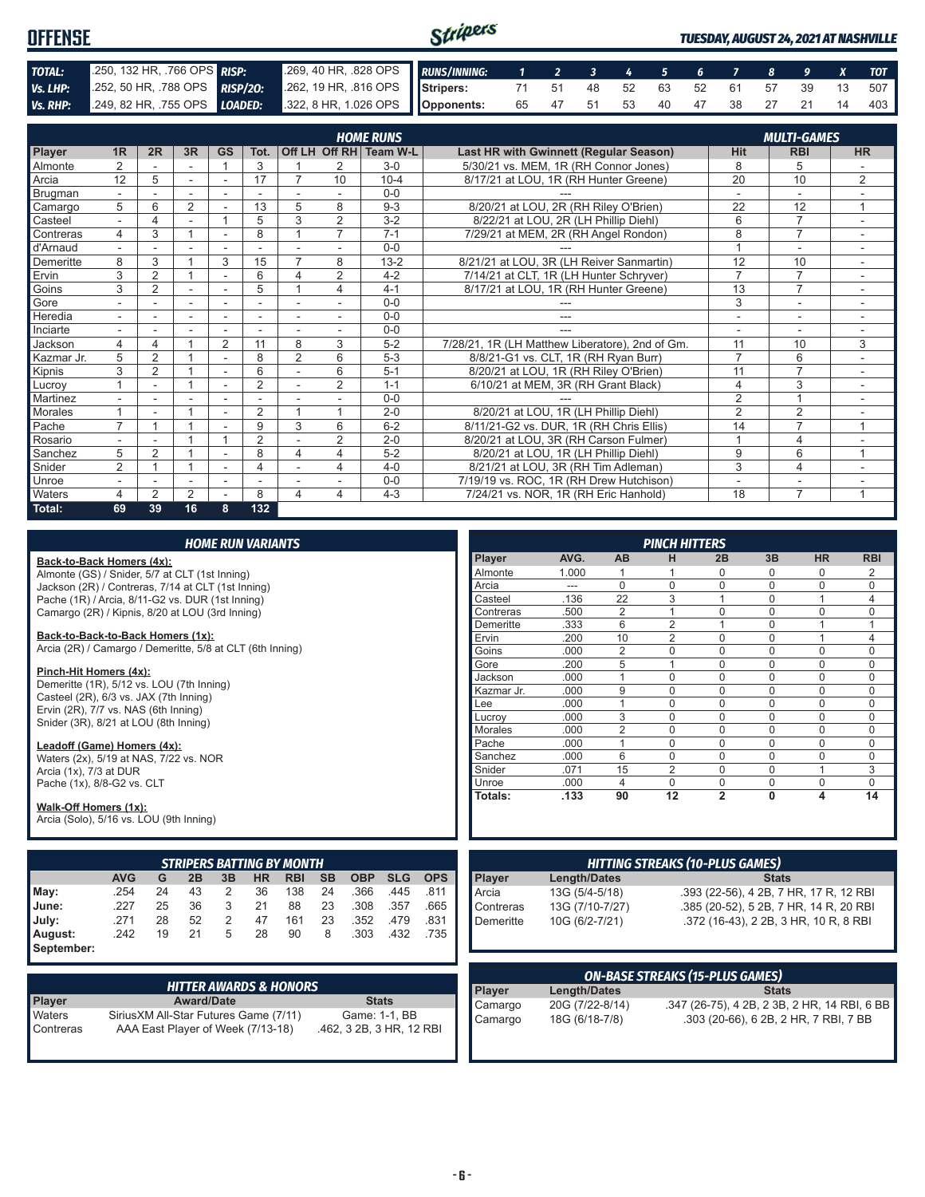| <b>OFFENSE</b> |                                                                                                      | Stripers                                                 |  |  |  |  |  |  |  |  | <b>TUESDAY, AUGUST 24, 2021 AT NASHVILLE</b> |
|----------------|------------------------------------------------------------------------------------------------------|----------------------------------------------------------|--|--|--|--|--|--|--|--|----------------------------------------------|
| TOTAL:         | 250, 132 HR, 766 OPS RISP:                                                                           | 269, 40 HR, 328 OPS RUNS/INNING: 1 2 3 4 5 6 7 8 9 X TOT |  |  |  |  |  |  |  |  |                                              |
| Vs. LHP:       | 252, 50 HR, 788 OPS <b>RISP/20:</b> 262, 19 HR, 816 OPS Stripers: 71 51 48 52 63 52 61 57 39 13 507  |                                                          |  |  |  |  |  |  |  |  |                                              |
|                | Vs. RHP: 249, 82 HR, 755 OPS LOADED: 322, 8 HR, 1.026 OPS   Opponents: 65 47 51 53 40 47 38 27 21 14 |                                                          |  |  |  |  |  |  |  |  | 403                                          |

|            | <b>HOME RUNS</b><br><b>MULTI-GAMES</b> |                |                |                          |                |                          |                |                        |                                                 |                |                |                          |
|------------|----------------------------------------|----------------|----------------|--------------------------|----------------|--------------------------|----------------|------------------------|-------------------------------------------------|----------------|----------------|--------------------------|
| Player     | 1R                                     | 2R             | 3R             | <b>GS</b>                | Tot.           |                          |                | Off LH Off RH Team W-L | Last HR with Gwinnett (Regular Season)          | <b>Hit</b>     | <b>RBI</b>     | <b>HR</b>                |
| Almonte    | $\overline{2}$                         |                |                | $\overline{ }$           | 3              |                          | 2              | $3-0$                  | 5/30/21 vs. MEM, 1R (RH Connor Jones)           | 8              | 5              |                          |
| Arcia      | 12                                     | 5              | ÷.             | $\sim$                   | 17             |                          | 10             | $10 - 4$               | 8/17/21 at LOU, 1R (RH Hunter Greene)           | 20             | 10             | 2                        |
| Brugman    |                                        |                |                |                          |                |                          |                | $0 - 0$                |                                                 |                |                |                          |
| Camargo    | 5                                      | 6              | 2              |                          | 13             | 5                        | 8              | $9 - 3$                | 8/20/21 at LOU, 2R (RH Riley O'Brien)           | 22             | 12             | 1                        |
| Casteel    | $\sim$                                 | 4              | ۰              |                          | 5              | 3                        | $\overline{2}$ | $3 - 2$                | 8/22/21 at LOU, 2R (LH Phillip Diehl)           | 6              | $\overline{7}$ |                          |
| Contreras  | 4                                      | 3              |                |                          | 8              |                          | $\overline{7}$ | $7 - 1$                | 7/29/21 at MEM, 2R (RH Angel Rondon)            | 8              | $\overline{7}$ |                          |
| d'Arnaud   |                                        |                |                |                          |                |                          |                | $0 - 0$                |                                                 |                | ٠              | $\overline{\phantom{a}}$ |
| Demeritte  | 8                                      | 3              |                | 3                        | 15             | $\overline{7}$           | 8              | $13 - 2$               | 8/21/21 at LOU, 3R (LH Reiver Sanmartin)        | 12             | 10             |                          |
| Ervin      | 3                                      | $\overline{2}$ |                | ٠                        | 6              | 4                        | 2              | $4 - 2$                | 7/14/21 at CLT, 1R (LH Hunter Schryver)         | $\overline{7}$ | $\overline{7}$ | $\sim$                   |
| Goins      | 3                                      | $\overline{2}$ |                | ٠                        | 5              |                          | 4              | $4 - 1$                | 8/17/21 at LOU, 1R (RH Hunter Greene)           | 13             | $\overline{7}$ |                          |
| Gore       |                                        |                | ٠              |                          |                |                          |                | $0 - 0$                |                                                 | 3              | ۰              |                          |
| Heredia    | $\sim$                                 |                | ٠              | $\overline{\phantom{a}}$ |                | $\overline{\phantom{a}}$ |                | $0 - 0$                | ---                                             | ٠              | ٠              | ٠.                       |
| Inciarte   |                                        |                |                |                          |                |                          |                | $0 - 0$                |                                                 |                | ٠              |                          |
| Jackson    | 4                                      | 4              |                | $\overline{2}$           | 11             | 8                        | 3              | $5-2$                  | 7/28/21, 1R (LH Matthew Liberatore), 2nd of Gm. | 11             | 10             | 3                        |
| Kazmar Jr. | 5                                      | $\overline{2}$ |                |                          | 8              | $\overline{2}$           | 6              | $5-3$                  | 8/8/21-G1 vs. CLT, 1R (RH Ryan Burr)            | $\overline{7}$ | 6              |                          |
| Kipnis     | 3                                      | $\overline{2}$ |                | $\sim$                   | 6              |                          | 6              | $5 - 1$                | 8/20/21 at LOU, 1R (RH Riley O'Brien)           | 11             | $\overline{7}$ |                          |
| Lucrov     |                                        | ۰              |                | ۰                        | $\overline{2}$ | $\blacksquare$           | $\overline{2}$ | $1 - 1$                | 6/10/21 at MEM, 3R (RH Grant Black)             | $\overline{4}$ | 3              | $\sim$                   |
| Martinez   |                                        |                |                |                          |                |                          |                | $0 - 0$                |                                                 | $\overline{2}$ | $\overline{A}$ |                          |
| Morales    |                                        |                |                | ٠                        | 2              |                          |                | $2 - 0$                | 8/20/21 at LOU, 1R (LH Phillip Diehl)           | $\overline{2}$ | $\overline{2}$ |                          |
| Pache      | $\overline{ }$                         |                |                |                          | 9              | 3                        | 6              | $6 - 2$                | 8/11/21-G2 vs. DUR, 1R (RH Chris Ellis)         | 14             | $\overline{7}$ | 1                        |
| Rosario    |                                        |                |                |                          | $\overline{2}$ |                          | $\overline{2}$ | $2 - 0$                | 8/20/21 at LOU, 3R (RH Carson Fulmer)           | $\overline{A}$ | $\overline{4}$ |                          |
| Sanchez    | 5                                      | $\overline{2}$ |                | ٠                        | 8              | 4                        | 4              | $5-2$                  | 8/20/21 at LOU, 1R (LH Phillip Diehl)           | 9              | 6              | $\overline{1}$           |
| Snider     | $\overline{2}$                         |                |                | $\overline{\phantom{a}}$ | 4              |                          | 4              | $4 - 0$                | 8/21/21 at LOU, 3R (RH Tim Adleman)             | 3              | $\overline{4}$ | $\sim$                   |
| Unroe      |                                        |                | ۰              |                          |                |                          |                | $0 - 0$                | 7/19/19 vs. ROC, 1R (RH Drew Hutchison)         | ۰              | ۰              |                          |
| Waters     | 4                                      | $\overline{2}$ | $\overline{2}$ |                          | 8              | 4                        | 4              | $4 - 3$                | 7/24/21 vs. NOR, 1R (RH Eric Hanhold)           | 18             | $\overline{7}$ |                          |
| Total:     | 69                                     | 39             | 16             | 8                        | 132            |                          |                |                        |                                                 |                |                |                          |

|                                                                                                |                                        |                                   |                   |    | <b>HOME RUN VARIANTS</b> |                                   |           |                                           |            |            |                   |                     |                     | <b>PINCH HITTERS</b>                   |                      |                      |                                              |               |
|------------------------------------------------------------------------------------------------|----------------------------------------|-----------------------------------|-------------------|----|--------------------------|-----------------------------------|-----------|-------------------------------------------|------------|------------|-------------------|---------------------|---------------------|----------------------------------------|----------------------|----------------------|----------------------------------------------|---------------|
| Back-to-Back Homers (4x):                                                                      |                                        |                                   |                   |    |                          |                                   |           |                                           |            |            | Player            | AVG.                | AB                  | н                                      | 2B                   | 3B                   | <b>HR</b>                                    | <b>RBI</b>    |
| Almonte (GS) / Snider, 5/7 at CLT (1st Inning)                                                 |                                        |                                   |                   |    |                          |                                   |           |                                           |            |            | Almonte           | 1.000               | 1                   | 1                                      | 0                    | 0                    | $\mathbf 0$                                  | 2             |
| Jackson (2R) / Contreras, 7/14 at CLT (1st Inning)                                             |                                        |                                   |                   |    |                          |                                   |           |                                           |            |            | Arcia             | $---$               | $\Omega$            | $\Omega$                               | $\mathbf{0}$         | $\Omega$             | $\mathbf 0$                                  | $\mathbf 0$   |
| Pache (1R) / Arcia, 8/11-G2 vs. DUR (1st Inning)                                               |                                        |                                   |                   |    |                          |                                   |           |                                           |            |            | Casteel           | .136                | $\overline{22}$     | $\overline{3}$                         | $\overline{1}$       | $\mathbf{0}$         | $\overline{1}$                               | 4             |
| Camargo (2R) / Kipnis, 8/20 at LOU (3rd Inning)                                                |                                        |                                   |                   |    |                          |                                   |           |                                           |            |            | Contreras         | .500                | $\overline{2}$      | 1                                      | $\Omega$             | $\Omega$             | $\Omega$                                     | 0             |
|                                                                                                |                                        |                                   |                   |    |                          |                                   |           |                                           |            |            | Demeritte         | .333                | 6                   | $\overline{2}$                         | $\mathbf{1}$         | $\Omega$             | $\overline{1}$                               | 1             |
| Back-to-Back-to-Back Homers (1x):<br>Arcia (2R) / Camargo / Demeritte, 5/8 at CLT (6th Inning) |                                        |                                   |                   |    |                          |                                   |           |                                           | Ervin      | .200       | 10                | $\overline{2}$      | $\Omega$            | $\Omega$                               | $\mathbf{1}$         | $\overline{4}$       |                                              |               |
|                                                                                                |                                        |                                   |                   |    |                          |                                   |           |                                           |            |            | Goins             | .000                | $\overline{2}$      | $\Omega$                               | $\Omega$             | $\Omega$             | $\Omega$                                     | $\Omega$      |
| Pinch-Hit Homers (4x):                                                                         |                                        |                                   |                   |    |                          |                                   |           |                                           |            |            | Gore              | .200                | 5                   | $\mathbf{1}$                           | $\Omega$             | $\Omega$             | $\mathbf 0$                                  | $\mathbf 0$   |
| Demeritte (1R), 5/12 vs. LOU (7th Inning)                                                      |                                        |                                   |                   |    |                          |                                   |           |                                           |            |            | Jackson           | .000                | $\mathbf{1}$        | $\Omega$                               | $\mathbf{0}$         | $\mathbf{0}$         | $\mathbf 0$                                  | $\mathbf 0$   |
| Casteel (2R), 6/3 vs. JAX (7th Inning)                                                         |                                        |                                   |                   |    |                          |                                   |           |                                           |            |            | Kazmar Jr.        | .000.               | 9                   | $\Omega$                               | $\Omega$             | $\Omega$             | $\Omega$                                     | $\Omega$      |
| Ervin (2R), 7/7 vs. NAS (6th Inning)                                                           |                                        |                                   |                   |    |                          |                                   |           |                                           |            |            | Lee               | .000                | $\mathbf{1}$        | $\Omega$                               | $\Omega$             | $\Omega$<br>$\Omega$ | $\mathbf 0$                                  | $\mathbf 0$   |
| Snider (3R), 8/21 at LOU (8th Inning)                                                          |                                        |                                   |                   |    |                          |                                   |           |                                           |            |            | Lucroy<br>Morales | .000<br>.000        | 3<br>$\overline{2}$ | $\Omega$<br>$\Omega$                   | $\Omega$<br>$\Omega$ | $\Omega$             | $\mathbf 0$<br>$\Omega$                      | $\mathbf 0$   |
|                                                                                                |                                        |                                   |                   |    |                          |                                   |           |                                           |            |            | Pache             | .000                | $\mathbf{1}$        | $\Omega$                               | $\Omega$             | $\Omega$             | $\Omega$                                     | 0<br>$\Omega$ |
| Leadoff (Game) Homers (4x):                                                                    |                                        |                                   |                   |    |                          |                                   |           |                                           |            |            | Sanchez           | .000                | 6                   | $\mathbf 0$                            | $\Omega$             | $\Omega$             | $\mathbf 0$                                  | $\mathbf 0$   |
| Waters (2x), 5/19 at NAS, 7/22 vs. NOR                                                         |                                        |                                   |                   |    |                          |                                   |           |                                           |            |            | Snider            | .071                | 15                  | 2                                      | $\Omega$             | $\Omega$             | $\mathbf{1}$                                 | 3             |
| Arcia (1x), 7/3 at DUR                                                                         |                                        |                                   |                   |    |                          |                                   |           |                                           |            |            | Unroe             | .000                | $\overline{4}$      | $\mathbf 0$                            | 0                    | 0                    | $\mathbf 0$                                  | $\mathbf 0$   |
| Pache (1x), 8/8-G2 vs. CLT                                                                     |                                        |                                   |                   |    |                          |                                   |           |                                           |            |            | Totals:           | .133                | 90                  | 12                                     | $\overline{2}$       | $\mathbf{0}$         | $\overline{\mathbf{A}}$                      | 14            |
| Walk-Off Homers (1x):<br>Arcia (Solo), 5/16 vs. LOU (9th Inning)                               |                                        |                                   |                   |    |                          |                                   |           |                                           |            |            |                   |                     |                     |                                        |                      |                      |                                              |               |
|                                                                                                |                                        |                                   |                   |    |                          | <b>STRIPERS BATTING BY MONTH</b>  |           |                                           |            |            |                   |                     |                     | <b>HITTING STREAKS (10-PLUS GAMES)</b> |                      |                      |                                              |               |
|                                                                                                | <b>AVG</b>                             | G                                 | 2B                | 3B | <b>HR</b>                | <b>RBI</b>                        | <b>SB</b> | <b>OBP</b>                                | <b>SLG</b> | <b>OPS</b> | <b>Player</b>     | <b>Length/Dates</b> |                     |                                        |                      | <b>Stats</b>         |                                              |               |
| May:                                                                                           | .254                                   | 24                                | 43                | 2  | 36                       | 138                               | 24        | .366                                      | .445       | .811       | Arcia             | 13G (5/4-5/18)      |                     |                                        |                      |                      | .393 (22-56), 4 2B, 7 HR, 17 R, 12 RBI       |               |
| June:                                                                                          | .227                                   | 25                                | 36                | 3  | 21                       | 88                                | 23        | .308                                      | .357       | .665       | Contreras         | 13G (7/10-7/27)     |                     |                                        |                      |                      | .385 (20-52), 5 2B, 7 HR, 14 R, 20 RBI       |               |
| July:                                                                                          | .271                                   | 28                                | 52                | 2  | 47                       | 161                               | 23        | .352                                      | .479       | .831       | Demeritte         | 10G (6/2-7/21)      |                     |                                        |                      |                      | .372 (16-43), 2 2B, 3 HR, 10 R, 8 RBI        |               |
| August:                                                                                        | .242                                   | 19                                | 21                | 5  | 28                       | 90                                | 8         | .303                                      | .432       | .735       |                   |                     |                     |                                        |                      |                      |                                              |               |
| September:                                                                                     |                                        |                                   |                   |    |                          |                                   |           |                                           |            |            |                   |                     |                     |                                        |                      |                      |                                              |               |
|                                                                                                |                                        |                                   |                   |    |                          |                                   |           |                                           |            |            |                   |                     |                     |                                        |                      |                      |                                              |               |
|                                                                                                |                                        |                                   |                   |    |                          |                                   |           |                                           |            |            |                   |                     |                     | <b>ON-BASE STREAKS (15-PLUS GAMES)</b> |                      |                      |                                              |               |
|                                                                                                |                                        |                                   |                   |    |                          | <b>HITTER AWARDS &amp; HONORS</b> |           |                                           |            |            | Player            | <b>Length/Dates</b> |                     |                                        |                      | <b>Stats</b>         |                                              |               |
| Player                                                                                         |                                        |                                   | <b>Award/Date</b> |    |                          |                                   |           | <b>Stats</b>                              |            |            | Camargo           | 20G (7/22-8/14)     |                     |                                        |                      |                      | .347 (26-75), 4 2B, 2 3B, 2 HR, 14 RBI, 6 BB |               |
| Waters<br>Contreras                                                                            | Sirius XM All-Star Futures Game (7/11) | AAA East Player of Week (7/13-18) |                   |    |                          |                                   |           | Game: 1-1, BB<br>.462, 3 2B, 3 HR, 12 RBI |            |            | Camargo           | 18G (6/18-7/8)      |                     |                                        |                      |                      | .303 (20-66), 6 2B, 2 HR, 7 RBI, 7 BB        |               |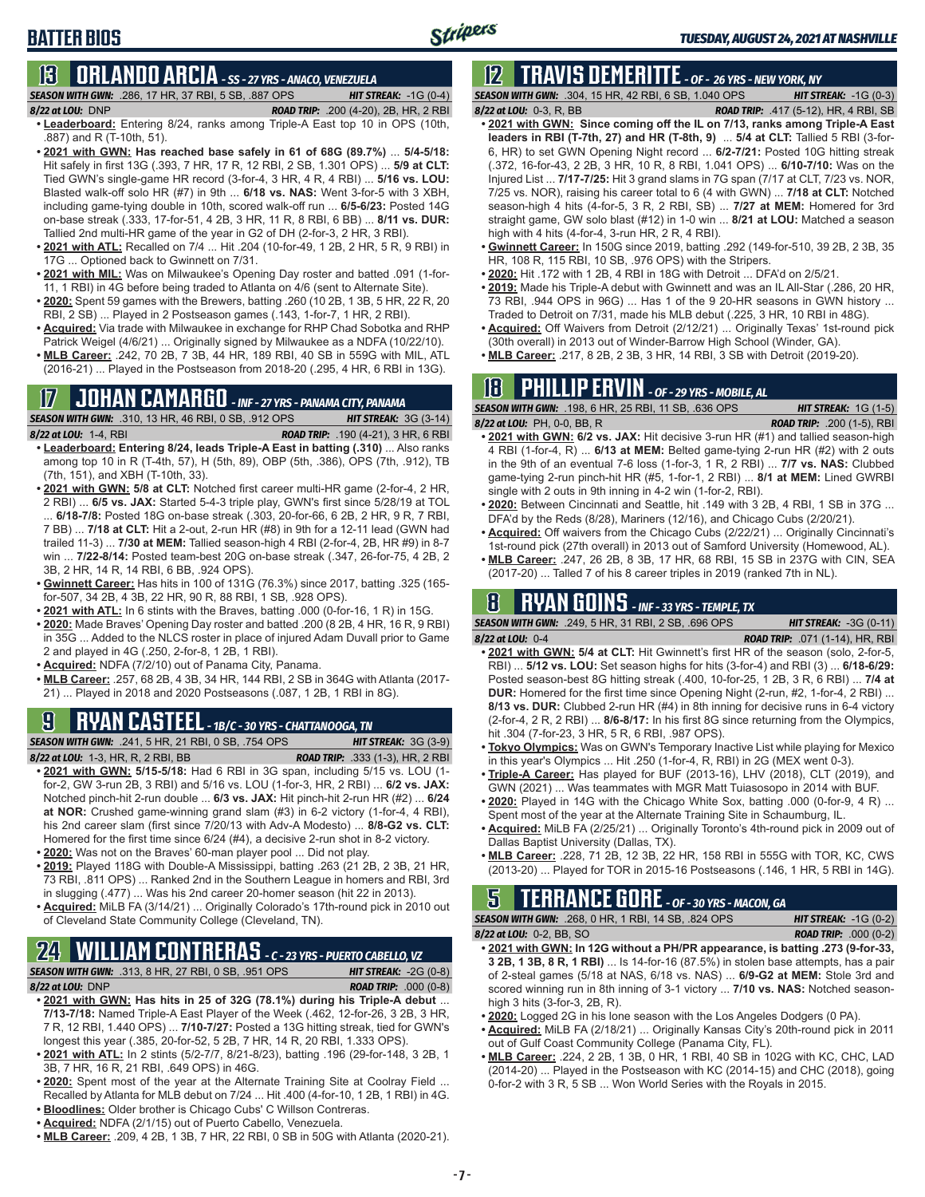### **BATTER BIOS**

### **13 ORLANDO ARCIA** *- SS - 27 YRS - ANACO, VENEZUELA*

*SEASON WITH GWN:*.286, 17 HR, 37 RBI, 5 SB, .887 OPS *HIT STREAK:* -1G (0-4)

- *8/22 at LOU:*DNP *ROAD TRIP:* .200 (4-20), 2B, HR, 2 RBI **• Leaderboard:** Entering 8/24, ranks among Triple-A East top 10 in OPS (10th, .887) and R (T-10th, 51).
- **• 2021 with GWN: Has reached base safely in 61 of 68G (89.7%)** ... **5/4-5/18:**  Hit safely in first 13G (.393, 7 HR, 17 R, 12 RBI, 2 SB, 1.301 OPS) ... **5/9 at CLT:** Tied GWN's single-game HR record (3-for-4, 3 HR, 4 R, 4 RBI) ... **5/16 vs. LOU:** Blasted walk-off solo HR (#7) in 9th ... **6/18 vs. NAS:** Went 3-for-5 with 3 XBH, including game-tying double in 10th, scored walk-off run ... **6/5-6/23:** Posted 14G on-base streak (.333, 17-for-51, 4 2B, 3 HR, 11 R, 8 RBI, 6 BB) ... **8/11 vs. DUR:** Tallied 2nd multi-HR game of the year in G2 of DH (2-for-3, 2 HR, 3 RBI).
- **• 2021 with ATL:** Recalled on 7/4 ... Hit .204 (10-for-49, 1 2B, 2 HR, 5 R, 9 RBI) in 17G ... Optioned back to Gwinnett on 7/31.
- **• 2021 with MIL:** Was on Milwaukee's Opening Day roster and batted .091 (1-for-11, 1 RBI) in 4G before being traded to Atlanta on 4/6 (sent to Alternate Site).
- **• 2020:** Spent 59 games with the Brewers, batting .260 (10 2B, 1 3B, 5 HR, 22 R, 20 RBI, 2 SB) ... Played in 2 Postseason games (.143, 1-for-7, 1 HR, 2 RBI).
- **• Acquired:** Via trade with Milwaukee in exchange for RHP Chad Sobotka and RHP Patrick Weigel (4/6/21) ... Originally signed by Milwaukee as a NDFA (10/22/10).
- **• MLB Career:** .242, 70 2B, 7 3B, 44 HR, 189 RBI, 40 SB in 559G with MIL, ATL (2016-21) ... Played in the Postseason from 2018-20 (.295, 4 HR, 6 RBI in 13G).

### **17 JOHAN CAMARGO** *- INF - 27 YRS - PANAMA CITY, PANAMA*

*SEASON WITH GWN:*.310, 13 HR, 46 RBI, 0 SB, .912 OPS *HIT STREAK:* 3G (3-14) *8/22 at LOU:* 1-4, RBI *ROAD TRIP:* .190 (4-21), 3 HR, 6 RBI

- **• Leaderboard: Entering 8/24, leads Triple-A East in batting (.310)** ... Also ranks among top 10 in R (T-4th, 57), H (5th, 89), OBP (5th, .386), OPS (7th, .912), TB (7th, 151), and XBH (T-10th, 33).
- **• 2021 with GWN: 5/8 at CLT:** Notched first career multi-HR game (2-for-4, 2 HR, 2 RBI) ... **6/5 vs. JAX:** Started 5-4-3 triple play, GWN's first since 5/28/19 at TOL ... **6/18-7/8:** Posted 18G on-base streak (.303, 20-for-66, 6 2B, 2 HR, 9 R, 7 RBI, 7 BB) ... **7/18 at CLT:** Hit a 2-out, 2-run HR (#8) in 9th for a 12-11 lead (GWN had trailed 11-3) ... **7/30 at MEM:** Tallied season-high 4 RBI (2-for-4, 2B, HR #9) in 8-7 win ... **7/22-8/14:** Posted team-best 20G on-base streak (.347, 26-for-75, 4 2B, 2 3B, 2 HR, 14 R, 14 RBI, 6 BB, .924 OPS).
- **• Gwinnett Career:** Has hits in 100 of 131G (76.3%) since 2017, batting .325 (165 for-507, 34 2B, 4 3B, 22 HR, 90 R, 88 RBI, 1 SB, .928 OPS).
- **• 2021 with ATL:** In 6 stints with the Braves, batting .000 (0-for-16, 1 R) in 15G.
- **• 2020:** Made Braves' Opening Day roster and batted .200 (8 2B, 4 HR, 16 R, 9 RBI) in 35G ... Added to the NLCS roster in place of injured Adam Duvall prior to Game 2 and played in 4G (.250, 2-for-8, 1 2B, 1 RBI).
- **• Acquired:** NDFA (7/2/10) out of Panama City, Panama.
- **• MLB Career:** .257, 68 2B, 4 3B, 34 HR, 144 RBI, 2 SB in 364G with Atlanta (2017- 21) ... Played in 2018 and 2020 Postseasons (.087, 1 2B, 1 RBI in 8G).

### **9 RYAN CASTEEL** *- 1B/C - 30 YRS - CHATTANOOGA, TN*

*SEASON WITH GWN:*.241, 5 HR, 21 RBI, 0 SB, .754 OPS *HIT STREAK:* 3G (3-9)

- *8/22 at LOU:*1-3, HR, R, 2 RBI, BB *ROAD TRIP:* .333 (1-3), HR, 2 RBI **• 2021 with GWN: 5/15-5/18:** Had 6 RBI in 3G span, including 5/15 vs. LOU (1 for-2, GW 3-run 2B, 3 RBI) and 5/16 vs. LOU (1-for-3, HR, 2 RBI) ... **6/2 vs. JAX:** Notched pinch-hit 2-run double ... **6/3 vs. JAX:** Hit pinch-hit 2-run HR (#2) ... **6/24 at NOR:** Crushed game-winning grand slam (#3) in 6-2 victory (1-for-4, 4 RBI), his 2nd career slam (first since 7/20/13 with Adv-A Modesto) ... **8/8-G2 vs. CLT:** Homered for the first time since 6/24 (#4), a decisive 2-run shot in 8-2 victory. **• 2020:** Was not on the Braves' 60-man player pool ... Did not play.
- **• 2019:** Played 118G with Double-A Mississippi, batting .263 (21 2B, 2 3B, 21 HR,
- 73 RBI, .811 OPS) ... Ranked 2nd in the Southern League in homers and RBI, 3rd in slugging (.477) ... Was his 2nd career 20-homer season (hit 22 in 2013).
- **• Acquired:** MiLB FA (3/14/21) ... Originally Colorado's 17th-round pick in 2010 out of Cleveland State Community College (Cleveland, TN).

#### **24 WILLIAM CONTRERAS** *- C - 23 YRS - PUERTO CABELLO, VZ SEASON WITH GWN:*.313, 8 HR, 27 RBI, 0 SB, .951 OPS *HIT STREAK:* -2G (0-8)

*8/22 at LOU:* DNP *ROAD TRIP:* .000 (0-8)

- **• 2021 with GWN: Has hits in 25 of 32G (78.1%) during his Triple-A debut** ... **7/13-7/18:** Named Triple-A East Player of the Week (.462, 12-for-26, 3 2B, 3 HR, 7 R, 12 RBI, 1.440 OPS) ... **7/10-7/27:** Posted a 13G hitting streak, tied for GWN's longest this year (.385, 20-for-52, 5 2B, 7 HR, 14 R, 20 RBI, 1.333 OPS).
- **• 2021 with ATL:** In 2 stints (5/2-7/7, 8/21-8/23), batting .196 (29-for-148, 3 2B, 1 3B, 7 HR, 16 R, 21 RBI, .649 OPS) in 46G.
- **• 2020:** Spent most of the year at the Alternate Training Site at Coolray Field ... Recalled by Atlanta for MLB debut on 7/24 ... Hit .400 (4-for-10, 1 2B, 1 RBI) in 4G.
- **• Bloodlines:** Older brother is Chicago Cubs' C Willson Contreras.
- **• Acquired:** NDFA (2/1/15) out of Puerto Cabello, Venezuela.
- **• MLB Career:** .209, 4 2B, 1 3B, 7 HR, 22 RBI, 0 SB in 50G with Atlanta (2020-21).

### **12 TRAVIS DEMERITTE** *- OF - 26 YRS - NEW YORK, NY*

*SEASON WITH GWN:*.304, 15 HR, 42 RBI, 6 SB, 1.040 OPS *HIT STREAK:* -1G (0-3) *8/22 at LOU:*0-3, R, BB *ROAD TRIP:* .417 (5-12), HR, 4 RBI, SB

- 
- **• 2021 with GWN: Since coming off the IL on 7/13, ranks among Triple-A East leaders in RBI (T-7th, 27) and HR (T-8th, 9)** ... **5/4 at CLT:** Tallied 5 RBI (3-for-6, HR) to set GWN Opening Night record ... **6/2-7/21:** Posted 10G hitting streak (.372, 16-for-43, 2 2B, 3 HR, 10 R, 8 RBI, 1.041 OPS) ... **6/10-7/10:** Was on the Injured List ... **7/17-7/25:** Hit 3 grand slams in 7G span (7/17 at CLT, 7/23 vs. NOR, 7/25 vs. NOR), raising his career total to 6 (4 with GWN) ... **7/18 at CLT:** Notched season-high 4 hits (4-for-5, 3 R, 2 RBI, SB) ... **7/27 at MEM:** Homered for 3rd straight game, GW solo blast (#12) in 1-0 win ... **8/21 at LOU:** Matched a season high with 4 hits (4-for-4, 3-run HR, 2 R, 4 RBI).
- **• Gwinnett Career:** In 150G since 2019, batting .292 (149-for-510, 39 2B, 2 3B, 35 HR, 108 R, 115 RBI, 10 SB, .976 OPS) with the Stripers.
- **• 2020:** Hit .172 with 1 2B, 4 RBI in 18G with Detroit ... DFA'd on 2/5/21.
- **• 2019:** Made his Triple-A debut with Gwinnett and was an IL All-Star (.286, 20 HR, 73 RBI, .944 OPS in 96G) ... Has 1 of the 9 20-HR seasons in GWN history ... Traded to Detroit on 7/31, made his MLB debut (.225, 3 HR, 10 RBI in 48G).
- **• Acquired:** Off Waivers from Detroit (2/12/21) ... Originally Texas' 1st-round pick (30th overall) in 2013 out of Winder-Barrow High School (Winder, GA).
- **• MLB Career:** .217, 8 2B, 2 3B, 3 HR, 14 RBI, 3 SB with Detroit (2019-20).

### **18 PHILLIP ERVIN** *- OF - 29 YRS - MOBILE, AL*

*SEASON WITH GWN:*.198, 6 HR, 25 RBI, 11 SB, .636 OPS *HIT STREAK:* 1G (1-5) *8/22 at LOU:*PH, 0-0, BB, R *ROAD TRIP:* .200 (1-5), RBI

- **• 2021 with GWN: 6/2 vs. JAX:** Hit decisive 3-run HR (#1) and tallied season-high 4 RBI (1-for-4, R) ... **6/13 at MEM:** Belted game-tying 2-run HR (#2) with 2 outs in the 9th of an eventual 7-6 loss (1-for-3, 1 R, 2 RBI) ... **7/7 vs. NAS:** Clubbed game-tying 2-run pinch-hit HR (#5, 1-for-1, 2 RBI) ... **8/1 at MEM:** Lined GWRBI single with 2 outs in 9th inning in 4-2 win (1-for-2, RBI).
- **• 2020:** Between Cincinnati and Seattle, hit .149 with 3 2B, 4 RBI, 1 SB in 37G ... DFA'd by the Reds (8/28), Mariners (12/16), and Chicago Cubs (2/20/21).
- **• Acquired:** Off waivers from the Chicago Cubs (2/22/21) ... Originally Cincinnati's 1st-round pick (27th overall) in 2013 out of Samford University (Homewood, AL).
- **• MLB Career:** .247, 26 2B, 8 3B, 17 HR, 68 RBI, 15 SB in 237G with CIN, SEA (2017-20) ... Talled 7 of his 8 career triples in 2019 (ranked 7th in NL).

### **8 RYAN GOINS** *- INF - 33 YRS - TEMPLE, TX*

*SEASON WITH GWN:*.249, 5 HR, 31 RBI, 2 SB, .696 OPS *HIT STREAK:* -3G (0-11)

- *8/22 at LOU:*0-4 *ROAD TRIP:* .071 (1-14), HR, RBI **• 2021 with GWN: 5/4 at CLT:** Hit Gwinnett's first HR of the season (solo, 2-for-5, RBI) ... **5/12 vs. LOU:** Set season highs for hits (3-for-4) and RBI (3) ... **6/18-6/29:** Posted season-best 8G hitting streak (.400, 10-for-25, 1 2B, 3 R, 6 RBI) ... **7/4 at DUR:** Homered for the first time since Opening Night (2-run, #2, 1-for-4, 2 RBI) ... **8/13 vs. DUR:** Clubbed 2-run HR (#4) in 8th inning for decisive runs in 6-4 victory (2-for-4, 2 R, 2 RBI) ... **8/6-8/17:** In his first 8G since returning from the Olympics, hit .304 (7-for-23, 3 HR, 5 R, 6 RBI, .987 OPS).
- **• Tokyo Olympics:** Was on GWN's Temporary Inactive List while playing for Mexico in this year's Olympics ... Hit .250 (1-for-4, R, RBI) in 2G (MEX went 0-3).
- **• Triple-A Career:** Has played for BUF (2013-16), LHV (2018), CLT (2019), and GWN (2021) ... Was teammates with MGR Matt Tuiasosopo in 2014 with BUF.
- **• 2020:** Played in 14G with the Chicago White Sox, batting .000 (0-for-9, 4 R) ... Spent most of the year at the Alternate Training Site in Schaumburg, IL.
- **• Acquired:** MiLB FA (2/25/21) ... Originally Toronto's 4th-round pick in 2009 out of Dallas Baptist University (Dallas, TX).
- **• MLB Career:** .228, 71 2B, 12 3B, 22 HR, 158 RBI in 555G with TOR, KC, CWS (2013-20) ... Played for TOR in 2015-16 Postseasons (.146, 1 HR, 5 RBI in 14G).

#### **5 TERRANCE GORE** *- OF - 30 YRS - MACON, GA SEASON WITH GWN:*.268, 0 HR, 1 RBI, 14 SB, .824 OPS *HIT STREAK:* -1G (0-2)

*8/22 at LOU:*0-2, BB, SO *ROAD TRIP:* .000 (0-2)

- **• 2021 with GWN: In 12G without a PH/PR appearance, is batting .273 (9-for-33, 3 2B, 1 3B, 8 R, 1 RBI)** ... Is 14-for-16 (87.5%) in stolen base attempts, has a pair of 2-steal games (5/18 at NAS, 6/18 vs. NAS) ... **6/9-G2 at MEM:** Stole 3rd and scored winning run in 8th inning of 3-1 victory ... **7/10 vs. NAS:** Notched seasonhigh 3 hits (3-for-3, 2B, R).
- **• 2020:** Logged 2G in his lone season with the Los Angeles Dodgers (0 PA).
- **• Acquired:** MiLB FA (2/18/21) ... Originally Kansas City's 20th-round pick in 2011 out of Gulf Coast Community College (Panama City, FL).
- **• MLB Career:** .224, 2 2B, 1 3B, 0 HR, 1 RBI, 40 SB in 102G with KC, CHC, LAD (2014-20) ... Played in the Postseason with KC (2014-15) and CHC (2018), going 0-for-2 with 3 R, 5 SB ... Won World Series with the Royals in 2015.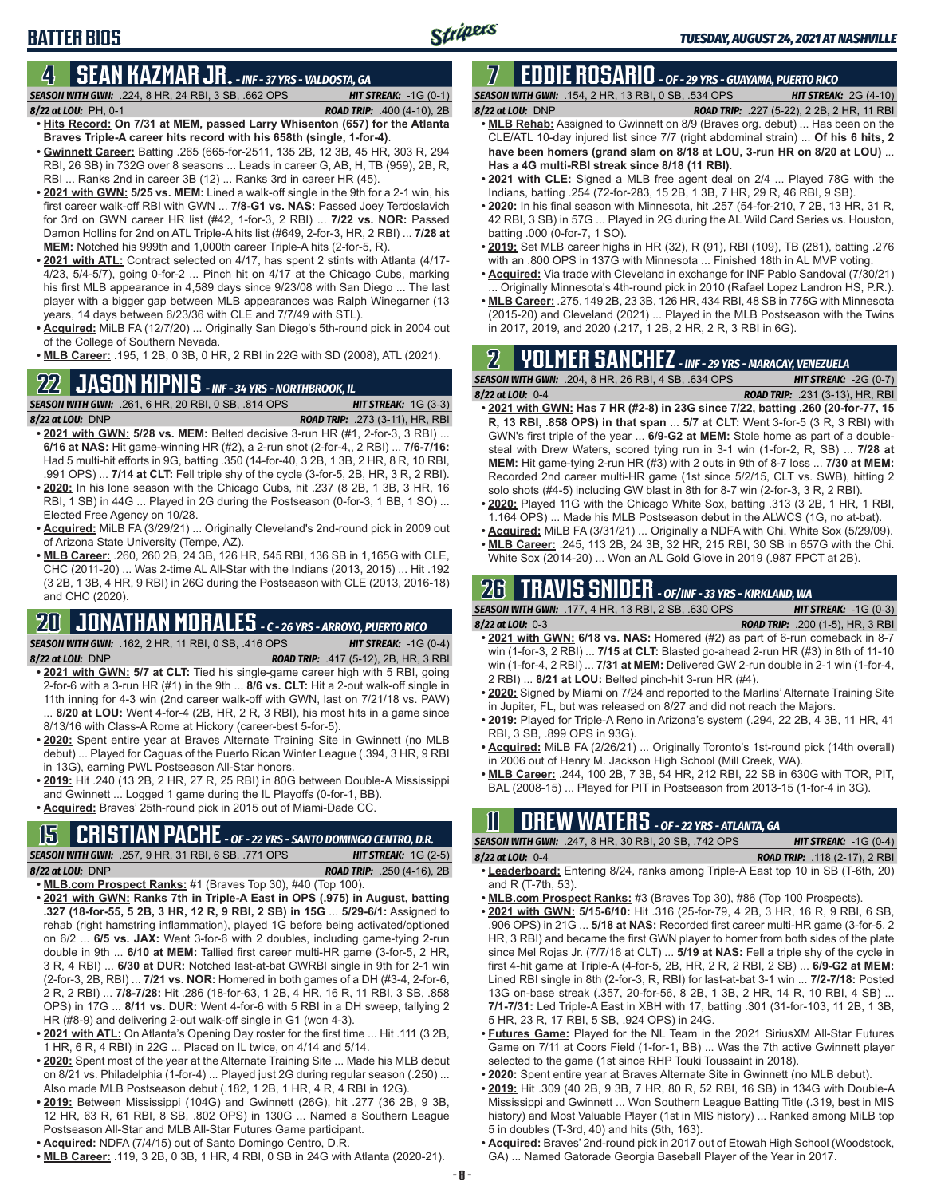### **BATTER BIOS**

### **4 SEAN KAZMAR JR.** *- INF - 37 YRS - VALDOSTA, GA*

*SEASON WITH GWN:*.224, 8 HR, 24 RBI, 3 SB, .662 OPS *HIT STREAK:* -1G (0-1) *8/22 at LOU:*PH, 0-1 *ROAD TRIP:* .400 (4-10), 2B

- **• Hits Record: On 7/31 at MEM, passed Larry Whisenton (657) for the Atlanta Braves Triple-A career hits record with his 658th (single, 1-for-4)**. **• Gwinnett Career:** Batting .265 (665-for-2511, 135 2B, 12 3B, 45 HR, 303 R, 294
- RBI, 26 SB) in 732G over 8 seasons ... Leads in career G, AB, H, TB (959), 2B, R, RBI ... Ranks 2nd in career 3B (12) ... Ranks 3rd in career HR (45).
- **• 2021 with GWN: 5/25 vs. MEM:** Lined a walk-off single in the 9th for a 2-1 win, his first career walk-off RBI with GWN ... **7/8-G1 vs. NAS:** Passed Joey Terdoslavich for 3rd on GWN career HR list (#42, 1-for-3, 2 RBI) ... **7/22 vs. NOR:** Passed Damon Hollins for 2nd on ATL Triple-A hits list (#649, 2-for-3, HR, 2 RBI) ... **7/28 at MEM:** Notched his 999th and 1,000th career Triple-A hits (2-for-5, R).
- **• 2021 with ATL:** Contract selected on 4/17, has spent 2 stints with Atlanta (4/17- 4/23, 5/4-5/7), going 0-for-2 ... Pinch hit on 4/17 at the Chicago Cubs, marking his first MLB appearance in 4,589 days since 9/23/08 with San Diego ... The last player with a bigger gap between MLB appearances was Ralph Winegarner (13 years, 14 days between 6/23/36 with CLE and 7/7/49 with STL).
- **• Acquired:** MiLB FA (12/7/20) ... Originally San Diego's 5th-round pick in 2004 out of the College of Southern Nevada.
- **• MLB Career:** .195, 1 2B, 0 3B, 0 HR, 2 RBI in 22G with SD (2008), ATL (2021).

# **22 JASON KIPNIS** *- INF - 34 YRS - NORTHBROOK, IL*

*SEASON WITH GWN:*.261, 6 HR, 20 RBI, 0 SB, .814 OPS *HIT STREAK:* 1G (3-3) *8/22 at LOU:*DNP *ROAD TRIP:* .273 (3-11), HR, RBI

- **• 2021 with GWN: 5/28 vs. MEM:** Belted decisive 3-run HR (#1, 2-for-3, 3 RBI) ... **6/16 at NAS:** Hit game-winning HR (#2), a 2-run shot (2-for-4,, 2 RBI) ... **7/6-7/16:** Had 5 multi-hit efforts in 9G, batting .350 (14-for-40, 3 2B, 1 3B, 2 HR, 8 R, 10 RBI, .991 OPS) ... **7/14 at CLT:** Fell triple shy of the cycle (3-for-5, 2B, HR, 3 R, 2 RBI).
- **• 2020:** In his lone season with the Chicago Cubs, hit .237 (8 2B, 1 3B, 3 HR, 16 RBI, 1 SB) in 44G ... Played in 2G during the Postseason (0-for-3, 1 BB, 1 SO) ... Elected Free Agency on 10/28.
- **• Acquired:** MiLB FA (3/29/21) ... Originally Cleveland's 2nd-round pick in 2009 out of Arizona State University (Tempe, AZ).
- **• MLB Career:** .260, 260 2B, 24 3B, 126 HR, 545 RBI, 136 SB in 1,165G with CLE, CHC (2011-20) ... Was 2-time AL All-Star with the Indians (2013, 2015) ... Hit .192 (3 2B, 1 3B, 4 HR, 9 RBI) in 26G during the Postseason with CLE (2013, 2016-18) and CHC (2020).

### **20 JONATHAN MORALES** *- C - 26 YRS - ARROYO, PUERTO RICO SEASON WITH GWN:*.162, 2 HR, 11 RBI, 0 SB, .416 OPS *HIT STREAK:* -1G (0-4)

- *8/22 at LOU:*DNP *ROAD TRIP:* .417 (5-12), 2B, HR, 3 RBI **• 2021 with GWN: 5/7 at CLT:** Tied his single-game career high with 5 RBI, going 2-for-6 with a 3-run HR (#1) in the 9th ... **8/6 vs. CLT:** Hit a 2-out walk-off single in 11th inning for 4-3 win (2nd career walk-off with GWN, last on 7/21/18 vs. PAW) ... **8/20 at LOU:** Went 4-for-4 (2B, HR, 2 R, 3 RBI), his most hits in a game since 8/13/16 with Class-A Rome at Hickory (career-best 5-for-5).
- **• 2020:** Spent entire year at Braves Alternate Training Site in Gwinnett (no MLB debut) ... Played for Caguas of the Puerto Rican Winter League (.394, 3 HR, 9 RBI in 13G), earning PWL Postseason All-Star honors.
- **• 2019:** Hit .240 (13 2B, 2 HR, 27 R, 25 RBI) in 80G between Double-A Mississippi and Gwinnett ... Logged 1 game during the IL Playoffs (0-for-1, BB).
- **• Acquired:** Braves' 25th-round pick in 2015 out of Miami-Dade CC.

# **15 CRISTIAN PACHE** *- OF - 22 YRS - SANTO DOMINGO CENTRO, D.R.*

*SEASON WITH GWN:*.257, 9 HR, 31 RBI, 6 SB, .771 OPS *HIT STREAK:* 1G (2-5) *8/22 at LOU:* DNP *ROAD TRIP:* .250 (4-16), 2B

- 
- **• MLB.com Prospect Ranks:** #1 (Braves Top 30), #40 (Top 100). **• 2021 with GWN: Ranks 7th in Triple-A East in OPS (.975) in August, batting .327 (18-for-55, 5 2B, 3 HR, 12 R, 9 RBI, 2 SB) in 15G** ... **5/29-6/1:** Assigned to rehab (right hamstring inflammation), played 1G before being activated/optioned on 6/2 ... **6/5 vs. JAX:** Went 3-for-6 with 2 doubles, including game-tying 2-run double in 9th ... **6/10 at MEM:** Tallied first career multi-HR game (3-for-5, 2 HR, 3 R, 4 RBI) ... **6/30 at DUR:** Notched last-at-bat GWRBI single in 9th for 2-1 win (2-for-3, 2B, RBI) ... **7/21 vs. NOR:** Homered in both games of a DH (#3-4, 2-for-6, 2 R, 2 RBI) ... **7/8-7/28:** Hit .286 (18-for-63, 1 2B, 4 HR, 16 R, 11 RBI, 3 SB, .858 OPS) in 17G ... **8/11 vs. DUR:** Went 4-for-6 with 5 RBI in a DH sweep, tallying 2 HR (#8-9) and delivering 2-out walk-off single in G1 (won 4-3).
- **• 2021 with ATL:** On Atlanta's Opening Day roster for the first time ... Hit .111 (3 2B, 1 HR, 6 R, 4 RBI) in 22G ... Placed on IL twice, on 4/14 and 5/14.
- **• 2020:** Spent most of the year at the Alternate Training Site ... Made his MLB debut on 8/21 vs. Philadelphia (1-for-4) ... Played just 2G during regular season (.250) ... Also made MLB Postseason debut (.182, 1 2B, 1 HR, 4 R, 4 RBI in 12G).
- **• 2019:** Between Mississippi (104G) and Gwinnett (26G), hit .277 (36 2B, 9 3B, 12 HR, 63 R, 61 RBI, 8 SB, .802 OPS) in 130G ... Named a Southern League Postseason All-Star and MLB All-Star Futures Game participant.
- **• Acquired:** NDFA (7/4/15) out of Santo Domingo Centro, D.R.
- **• MLB Career:** .119, 3 2B, 0 3B, 1 HR, 4 RBI, 0 SB in 24G with Atlanta (2020-21).

#### **7 EDDIE ROSARIO** *- OF - 29 YRS - GUAYAMA, PUERTO RICO SEASON WITH GWN:*.154, 2 HR, 13 RBI, 0 SB, .534 OPS *HIT STREAK:* 2G (4-10)

- *8/22 at LOU:* DNP *ROAD TRIP:* .227 (5-22), 2 2B, 2 HR, 11 RBI **• MLB Rehab:** Assigned to Gwinnett on 8/9 (Braves org. debut) ... Has been on the CLE/ATL 10-day injured list since 7/7 (right abdominal strain) ... **Of his 6 hits, 2 have been homers (grand slam on 8/18 at LOU, 3-run HR on 8/20 at LOU)** ... **Has a 4G multi-RBI streak since 8/18 (11 RBI)**.
- **• 2021 with CLE:** Signed a MLB free agent deal on 2/4 ... Played 78G with the Indians, batting .254 (72-for-283, 15 2B, 1 3B, 7 HR, 29 R, 46 RBI, 9 SB).
- **• 2020:** In his final season with Minnesota, hit .257 (54-for-210, 7 2B, 13 HR, 31 R, 42 RBI, 3 SB) in 57G ... Played in 2G during the AL Wild Card Series vs. Houston, batting .000 (0-for-7, 1 SO).
- **• 2019:** Set MLB career highs in HR (32), R (91), RBI (109), TB (281), batting .276 with an .800 OPS in 137G with Minnesota ... Finished 18th in AL MVP voting.
- **• Acquired:** Via trade with Cleveland in exchange for INF Pablo Sandoval (7/30/21) ... Originally Minnesota's 4th-round pick in 2010 (Rafael Lopez Landron HS, P.R.).
- **• MLB Career:** .275, 149 2B, 23 3B, 126 HR, 434 RBI, 48 SB in 775G with Minnesota (2015-20) and Cleveland (2021) ... Played in the MLB Postseason with the Twins in 2017, 2019, and 2020 (.217, 1 2B, 2 HR, 2 R, 3 RBI in 6G).

# **2 YOLMER SANCHEZ** *- INF - 29 YRS - MARACAY, VENEZUELA*

*SEASON WITH GWN:*.204, 8 HR, 26 RBI, 4 SB, .634 OPS *HIT STREAK:* -2G (0-7)

- *8/22 at LOU:*0-4 *ROAD TRIP:* .231 (3-13), HR, RBI **• 2021 with GWN: Has 7 HR (#2-8) in 23G since 7/22, batting .260 (20-for-77, 15 R, 13 RBI, .858 OPS) in that span** ... **5/7 at CLT:** Went 3-for-5 (3 R, 3 RBI) with GWN's first triple of the year ... **6/9-G2 at MEM:** Stole home as part of a doublesteal with Drew Waters, scored tying run in 3-1 win (1-for-2, R, SB) ... **7/28 at MEM:** Hit game-tying 2-run HR (#3) with 2 outs in 9th of 8-7 loss ... **7/30 at MEM:** Recorded 2nd career multi-HR game (1st since 5/2/15, CLT vs. SWB), hitting 2 solo shots (#4-5) including GW blast in 8th for 8-7 win (2-for-3, 3 R, 2 RBI).
- **• 2020:** Played 11G with the Chicago White Sox, batting .313 (3 2B, 1 HR, 1 RBI, 1.164 OPS) ... Made his MLB Postseason debut in the ALWCS (1G, no at-bat).
- **• Acquired:** MiLB FA (3/31/21) ... Originally a NDFA with Chi. White Sox (5/29/09). **• MLB Career:** .245, 113 2B, 24 3B, 32 HR, 215 RBI, 30 SB in 657G with the Chi.
- White Sox (2014-20) ... Won an AL Gold Glove in 2019 (.987 FPCT at 2B).

# **26 TRAVIS SNIDER** *- OF/INF - 33 YRS - KIRKLAND, WA*

| <b>SEASON WITH GWN: .177, 4 HR, 13 RBI, 2 SB, .630 OPS</b>                   | <b>HIT STREAK:</b> $-1G(0-3)$           |
|------------------------------------------------------------------------------|-----------------------------------------|
| $8/22$ at LOU: 0-3                                                           | <b>ROAD TRIP:</b> .200 (1-5). HR. 3 RBI |
| • 2021 with GWN: 6/18 vs. NAS: Homered (#2) as part of 6-run comeback in 8-7 |                                         |

- win (1-for-3, 2 RBI) ... **7/15 at CLT:** Blasted go-ahead 2-run HR (#3) in 8th of 11-10 win (1-for-4, 2 RBI) ... **7/31 at MEM:** Delivered GW 2-run double in 2-1 win (1-for-4, 2 RBI) ... **8/21 at LOU:** Belted pinch-hit 3-run HR (#4).
- **• 2020:** Signed by Miami on 7/24 and reported to the Marlins' Alternate Training Site in Jupiter, FL, but was released on 8/27 and did not reach the Majors.
- **• 2019:** Played for Triple-A Reno in Arizona's system (.294, 22 2B, 4 3B, 11 HR, 41 RBI, 3 SB, .899 OPS in 93G).
- **• Acquired:** MiLB FA (2/26/21) ... Originally Toronto's 1st-round pick (14th overall) in 2006 out of Henry M. Jackson High School (Mill Creek, WA).
- **• MLB Career:** .244, 100 2B, 7 3B, 54 HR, 212 RBI, 22 SB in 630G with TOR, PIT, BAL (2008-15) ... Played for PIT in Postseason from 2013-15 (1-for-4 in 3G).

# **11 Drew WATERS** *- OF - 22 YRS - ATLANTA, GA*

*SEASON WITH GWN:*.247, 8 HR, 30 RBI, 20 SB, .742 OPS *HIT STREAK:* -1G (0-4)

*8/22 at LOU:*0-4 *ROAD TRIP:* .118 (2-17), 2 RBI **• Leaderboard:** Entering 8/24, ranks among Triple-A East top 10 in SB (T-6th, 20)

- and R (T-7th, 53).
- **• MLB.com Prospect Ranks:** #3 (Braves Top 30), #86 (Top 100 Prospects).
- **• 2021 with GWN: 5/15-6/10:** Hit .316 (25-for-79, 4 2B, 3 HR, 16 R, 9 RBI, 6 SB, .906 OPS) in 21G ... **5/18 at NAS:** Recorded first career multi-HR game (3-for-5, 2 HR, 3 RBI) and became the first GWN player to homer from both sides of the plate since Mel Rojas Jr. (7/7/16 at CLT) ... **5/19 at NAS:** Fell a triple shy of the cycle in first 4-hit game at Triple-A (4-for-5, 2B, HR, 2 R, 2 RBI, 2 SB) ... **6/9-G2 at MEM:** Lined RBI single in 8th (2-for-3, R, RBI) for last-at-bat 3-1 win ... **7/2-7/18:** Posted 13G on-base streak (.357, 20-for-56, 8 2B, 1 3B, 2 HR, 14 R, 10 RBI, 4 SB) ... **7/1-7/31:** Led Triple-A East in XBH with 17, batting .301 (31-for-103, 11 2B, 1 3B, 5 HR, 23 R, 17 RBI, 5 SB, .924 OPS) in 24G.
- **• Futures Game:** Played for the NL Team in the 2021 SiriusXM All-Star Futures Game on 7/11 at Coors Field (1-for-1, BB) ... Was the 7th active Gwinnett player selected to the game (1st since RHP Touki Toussaint in 2018).
- **• 2020:** Spent entire year at Braves Alternate Site in Gwinnett (no MLB debut).
- **• 2019:** Hit .309 (40 2B, 9 3B, 7 HR, 80 R, 52 RBI, 16 SB) in 134G with Double-A Mississippi and Gwinnett ... Won Southern League Batting Title (.319, best in MIS history) and Most Valuable Player (1st in MIS history) ... Ranked among MiLB top 5 in doubles (T-3rd, 40) and hits (5th, 163).
- **• Acquired:** Braves' 2nd-round pick in 2017 out of Etowah High School (Woodstock, GA) ... Named Gatorade Georgia Baseball Player of the Year in 2017.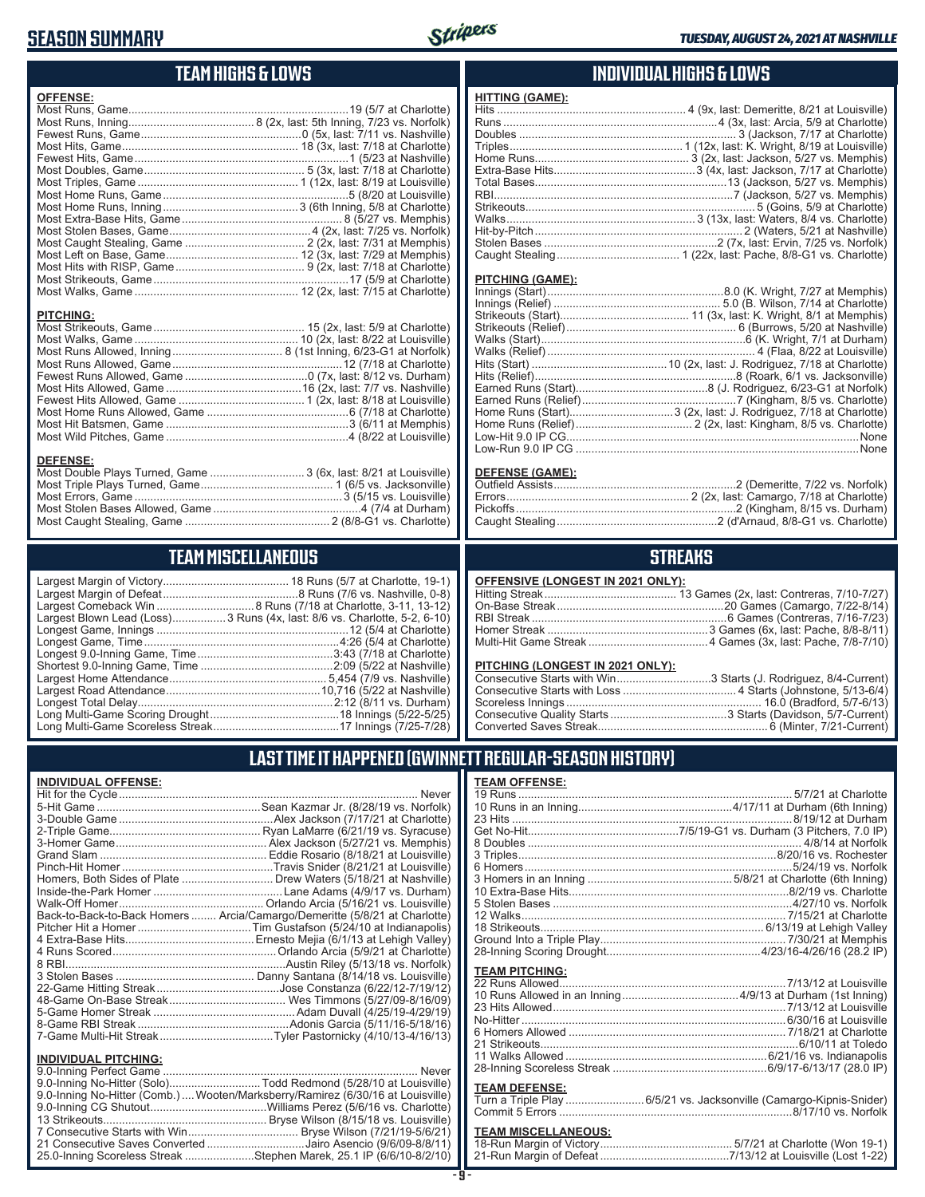### **SEASON SUMMARY**



### **TEAM HIGHS & LOWS**

| <b>OFFENSE:</b>                                                  |  |
|------------------------------------------------------------------|--|
|                                                                  |  |
|                                                                  |  |
|                                                                  |  |
|                                                                  |  |
|                                                                  |  |
|                                                                  |  |
|                                                                  |  |
|                                                                  |  |
|                                                                  |  |
|                                                                  |  |
|                                                                  |  |
|                                                                  |  |
|                                                                  |  |
|                                                                  |  |
|                                                                  |  |
|                                                                  |  |
|                                                                  |  |
|                                                                  |  |
| <b>PITCHING:</b>                                                 |  |
|                                                                  |  |
|                                                                  |  |
|                                                                  |  |
|                                                                  |  |
|                                                                  |  |
|                                                                  |  |
|                                                                  |  |
|                                                                  |  |
|                                                                  |  |
|                                                                  |  |
|                                                                  |  |
| <b>DEFENSE:</b>                                                  |  |
| Most Double Plays Turned, Game  3 (6x, last: 8/21 at Louisville) |  |
|                                                                  |  |

### **TEAM MISCELLANEOUS**

Most Caught Stealing, Game .............................................. 2 (8/8-G1 vs. Charlotte)

| Largest Blown Lead (Loss) 3 Runs (4x, last: 8/6 vs. Charlotte, 5-2, 6-10) |
|---------------------------------------------------------------------------|
|                                                                           |
|                                                                           |
|                                                                           |
|                                                                           |
|                                                                           |
|                                                                           |
|                                                                           |
|                                                                           |
|                                                                           |

### **INDIVIDUAL HIGHS & LOWS**

| <b>HITTING (GAME):</b> |  |
|------------------------|--|
|                        |  |
|                        |  |
|                        |  |
|                        |  |
|                        |  |
|                        |  |
|                        |  |
|                        |  |
|                        |  |
|                        |  |
|                        |  |
|                        |  |
|                        |  |

#### **PITCHING (GAME):**

#### **DEFENSE (GAME):**

### **STREAKS**

#### **OFFENSIVE (LONGEST IN 2021 ONLY):**

#### **PITCHING (LONGEST IN 2021 ONLY):**

| Consecutive Starts with Win3 Starts (J. Rodriguez, 8/4-Current) |
|-----------------------------------------------------------------|
|                                                                 |
|                                                                 |
|                                                                 |
|                                                                 |

### **LAST TIME IT HAPPENED (GWINNETT REGULAR-SEASON HISTORY)**

#### **INDIVIDUAL OFFENSE:**

|                             | Back-to-Back-to-Back Homers  Arcia/Camargo/Demeritte (5/8/21 at Charlotte) |
|-----------------------------|----------------------------------------------------------------------------|
|                             |                                                                            |
|                             |                                                                            |
|                             |                                                                            |
|                             |                                                                            |
|                             |                                                                            |
|                             |                                                                            |
|                             |                                                                            |
|                             |                                                                            |
|                             |                                                                            |
|                             |                                                                            |
| <b>INDIVIDUAL PITCHING:</b> |                                                                            |
| 0.0 Instead Deafast Comes   | <b>N</b> Lassau                                                            |

| <b>INDIVIDUAL PITURING.</b>                                                    |  |
|--------------------------------------------------------------------------------|--|
|                                                                                |  |
| 9.0-Inning No-Hitter (Solo)Todd Redmond (5/28/10 at Louisville)                |  |
| 9.0-Inning No-Hitter (Comb.) Wooten/Marksberry/Ramirez (6/30/16 at Louisville) |  |
|                                                                                |  |
|                                                                                |  |
|                                                                                |  |
| 21 Consecutive Saves Converted Jairo Asencio (9/6/09-8/8/11)                   |  |
| 25.0-Inning Scoreless Streak Stephen Marek, 25.1 IP (6/6/10-8/2/10)            |  |
|                                                                                |  |

# **TEAM OFFENSE:**

| <b>TEAM PITCHING:</b> |                     |
|-----------------------|---------------------|
|                       |                     |
|                       |                     |
|                       |                     |
|                       |                     |
|                       |                     |
| 21 Strikenuts         | $6/10/11$ at Toledo |

| 6 Homers Allowed ……………………………………………………………… //18/21 at Charlotte |  |
|----------------------------------------------------------------|--|
|                                                                |  |
|                                                                |  |
|                                                                |  |
|                                                                |  |

#### **TEAM DEFENSE:**

| Turn a Triple Play 6/5/21 vs. Jacksonville (Camargo-Kipnis-Snider) |
|--------------------------------------------------------------------|
|                                                                    |

### **TEAM MISCELLANEOUS:**<br>18-Run Margin of Victory....

| 21-Run Margin of Defeat…………………………………7/13/12 at Louisville (Lost 1-22) |
|-----------------------------------------------------------------------|